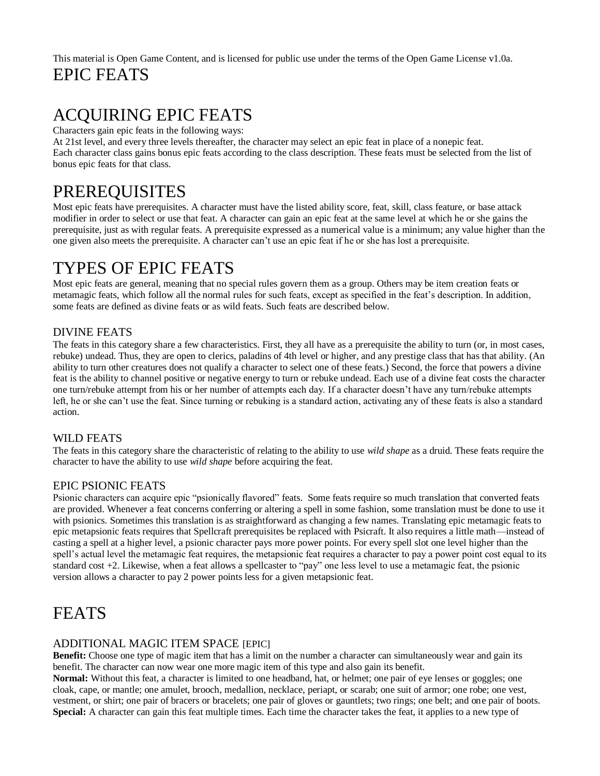# This material is Open Game Content, and is licensed for public use under the terms of the Open Game License v1.0a. EPIC FEATS

# ACQUIRING EPIC FEATS

Characters gain epic feats in the following ways:

At 21st level, and every three levels thereafter, the character may select an epic feat in place of a nonepic feat. Each character class gains bonus epic feats according to the class description. These feats must be selected from the list of bonus epic feats for that class.

# PREREQUISITES

Most epic feats have prerequisites. A character must have the listed ability score, feat, skill, class feature, or base attack modifier in order to select or use that feat. A character can gain an epic feat at the same level at which he or she gains the prerequisite, just as with regular feats. A prerequisite expressed as a numerical value is a minimum; any value higher than the one given also meets the prerequisite. A character can't use an epic feat if he or she has lost a prerequisite.

# TYPES OF EPIC FEATS

Most epic feats are general, meaning that no special rules govern them as a group. Others may be item creation feats or metamagic feats, which follow all the normal rules for such feats, except as specified in the feat's description. In addition, some feats are defined as divine feats or as wild feats. Such feats are described below.

# DIVINE FEATS

The feats in this category share a few characteristics. First, they all have as a prerequisite the ability to turn (or, in most cases, rebuke) undead. Thus, they are open to clerics, paladins of 4th level or higher, and any prestige class that has that ability. (An ability to turn other creatures does not qualify a character to select one of these feats.) Second, the force that powers a divine feat is the ability to channel positive or negative energy to turn or rebuke undead. Each use of a divine feat costs the character one turn/rebuke attempt from his or her number of attempts each day. If a character doesn't have any turn/rebuke attempts left, he or she can't use the feat. Since turning or rebuking is a standard action, activating any of these feats is also a standard action.

# WILD FEATS

The feats in this category share the characteristic of relating to the ability to use *wild shape* as a druid. These feats require the character to have the ability to use *wild shape* before acquiring the feat.

# EPIC PSIONIC FEATS

Psionic characters can acquire epic "psionically flavored" feats. Some feats require so much translation that converted feats are provided. Whenever a feat concerns conferring or altering a spell in some fashion, some translation must be done to use it with psionics. Sometimes this translation is as straightforward as changing a few names. Translating epic metamagic feats to epic metapsionic feats requires that Spellcraft prerequisites be replaced with Psicraft. It also requires a little math—instead of casting a spell at a higher level, a psionic character pays more power points. For every spell slot one level higher than the spell's actual level the metamagic feat requires, the metapsionic feat requires a character to pay a power point cost equal to its standard cost +2. Likewise, when a feat allows a spellcaster to "pay" one less level to use a metamagic feat, the psionic version allows a character to pay 2 power points less for a given metapsionic feat.

# FEATS

# ADDITIONAL MAGIC ITEM SPACE [EPIC]

**Benefit:** Choose one type of magic item that has a limit on the number a character can simultaneously wear and gain its benefit. The character can now wear one more magic item of this type and also gain its benefit.

**Normal:** Without this feat, a character is limited to one headband, hat, or helmet; one pair of eye lenses or goggles; one cloak, cape, or mantle; one amulet, brooch, medallion, necklace, periapt, or scarab; one suit of armor; one robe; one vest, vestment, or shirt; one pair of bracers or bracelets; one pair of gloves or gauntlets; two rings; one belt; and one pair of boots. **Special:** A character can gain this feat multiple times. Each time the character takes the feat, it applies to a new type of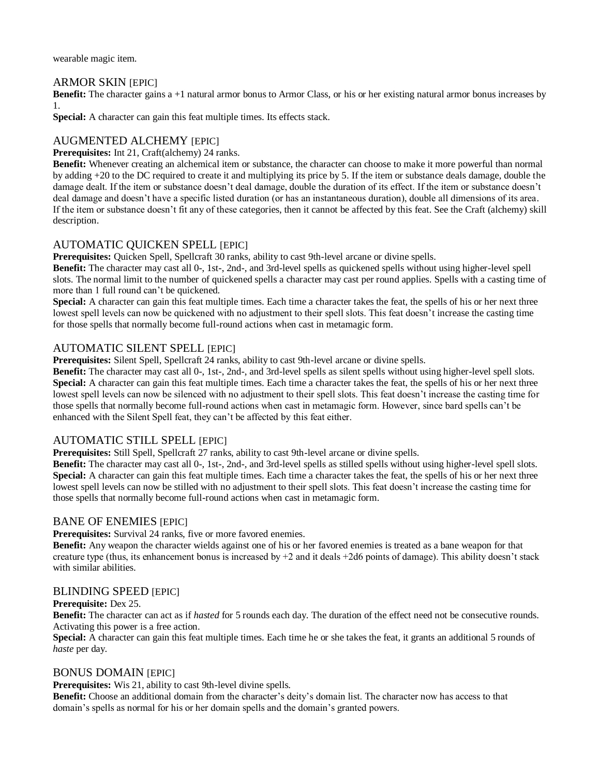wearable magic item.

### ARMOR SKIN **[EPIC]**

**Benefit:** The character gains a +1 natural armor bonus to Armor Class, or his or her existing natural armor bonus increases by 1.

**Special:** A character can gain this feat multiple times. Its effects stack.

# AUGMENTED ALCHEMY [EPIC]

### **Prerequisites:** Int 21, Craft(alchemy) 24 ranks.

**Benefit:** Whenever creating an alchemical item or substance, the character can choose to make it more powerful than normal by adding +20 to the DC required to create it and multiplying its price by 5. If the item or substance deals damage, double the damage dealt. If the item or substance doesn't deal damage, double the duration of its effect. If the item or substance doesn't deal damage and doesn't have a specific listed duration (or has an instantaneous duration), double all dimensions of its area. If the item or substance doesn't fit any of these categories, then it cannot be affected by this feat. See the Craft (alchemy) skill description.

## AUTOMATIC QUICKEN SPELL [EPIC]

**Prerequisites:** Quicken Spell, Spellcraft 30 ranks, ability to cast 9th-level arcane or divine spells.

**Benefit:** The character may cast all 0-, 1st-, 2nd-, and 3rd-level spells as quickened spells without using higher-level spell slots. The normal limit to the number of quickened spells a character may cast per round applies. Spells with a casting time of more than 1 full round can't be quickened.

**Special:** A character can gain this feat multiple times. Each time a character takes the feat, the spells of his or her next three lowest spell levels can now be quickened with no adjustment to their spell slots. This feat doesn't increase the casting time for those spells that normally become full-round actions when cast in metamagic form.

# AUTOMATIC SILENT SPELL [EPIC]

**Prerequisites:** Silent Spell, Spellcraft 24 ranks, ability to cast 9th-level arcane or divine spells.

**Benefit:** The character may cast all 0-, 1st-, 2nd-, and 3rd-level spells as silent spells without using higher-level spell slots. **Special:** A character can gain this feat multiple times. Each time a character takes the feat, the spells of his or her next three lowest spell levels can now be silenced with no adjustment to their spell slots. This feat doesn't increase the casting time for those spells that normally become full-round actions when cast in metamagic form. However, since bard spells can't be enhanced with the Silent Spell feat, they can't be affected by this feat either.

## AUTOMATIC STILL SPELL [EPIC]

**Prerequisites:** Still Spell, Spellcraft 27 ranks, ability to cast 9th-level arcane or divine spells.

**Benefit:** The character may cast all 0-, 1st-, 2nd-, and 3rd-level spells as stilled spells without using higher-level spell slots. **Special:** A character can gain this feat multiple times. Each time a character takes the feat, the spells of his or her next three lowest spell levels can now be stilled with no adjustment to their spell slots. This feat doesn't increase the casting time for those spells that normally become full-round actions when cast in metamagic form.

## BANE OF ENEMIES [EPIC]

**Prerequisites:** Survival 24 ranks, five or more favored enemies.

**Benefit:** Any weapon the character wields against one of his or her favored enemies is treated as a bane weapon for that creature type (thus, its enhancement bonus is increased by  $+2$  and it deals  $+2d6$  points of damage). This ability doesn't stack with similar abilities.

## BLINDING SPEED [EPIC]

### **Prerequisite:** Dex 25.

**Benefit:** The character can act as if *hasted* for 5 rounds each day. The duration of the effect need not be consecutive rounds. Activating this power is a free action.

**Special:** A character can gain this feat multiple times. Each time he or she takes the feat, it grants an additional 5 rounds of *haste* per day.

## BONUS DOMAIN [EPIC]

**Prerequisites:** Wis 21, ability to cast 9th-level divine spells.

**Benefit:** Choose an additional domain from the character's deity's domain list. The character now has access to that domain's spells as normal for his or her domain spells and the domain's granted powers.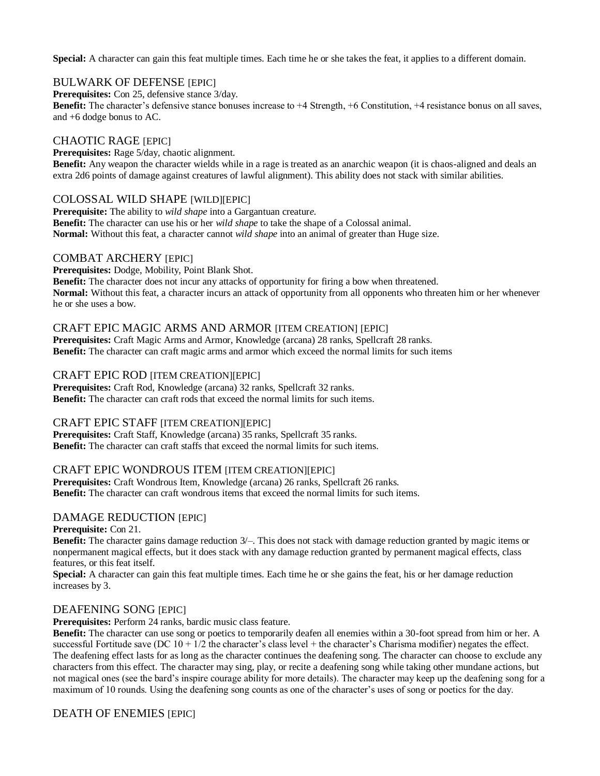**Special:** A character can gain this feat multiple times. Each time he or she takes the feat, it applies to a different domain.

# BULWARK OF DEFENSE [EPIC]

**Prerequisites:** Con 25, defensive stance 3/day.

**Benefit:** The character's defensive stance bonuses increase to +4 Strength, +6 Constitution, +4 resistance bonus on all saves, and +6 dodge bonus to AC.

# CHAOTIC RAGE [EPIC]

**Prerequisites:** Rage 5/day, chaotic alignment. **Benefit:** Any weapon the character wields while in a rage is treated as an anarchic weapon (it is chaos-aligned and deals an extra 2d6 points of damage against creatures of lawful alignment). This ability does not stack with similar abilities.

# COLOSSAL WILD SHAPE [WILD][EPIC]

**Prerequisite:** The ability to *wild shape* into a Gargantuan creatur*e.* **Benefit:** The character can use his or her *wild shape* to take the shape of a Colossal animal. **Normal:** Without this feat, a character cannot *wild shape* into an animal of greater than Huge size.

## COMBAT ARCHERY [EPIC]

**Prerequisites:** Dodge, Mobility, Point Blank Shot.

**Benefit:** The character does not incur any attacks of opportunity for firing a bow when threatened. **Normal:** Without this feat, a character incurs an attack of opportunity from all opponents who threaten him or her whenever he or she uses a bow.

## CRAFT EPIC MAGIC ARMS AND ARMOR [ITEM CREATION] [EPIC]

**Prerequisites:** Craft Magic Arms and Armor, Knowledge (arcana) 28 ranks, Spellcraft 28 ranks. **Benefit:** The character can craft magic arms and armor which exceed the normal limits for such items

## CRAFT EPIC ROD [ITEM CREATION][EPIC]

**Prerequisites:** Craft Rod, Knowledge (arcana) 32 ranks, Spellcraft 32 ranks. **Benefit:** The character can craft rods that exceed the normal limits for such items.

# CRAFT EPIC STAFF [ITEM CREATION][EPIC]

**Prerequisites:** Craft Staff, Knowledge (arcana) 35 ranks, Spellcraft 35 ranks. **Benefit:** The character can craft staffs that exceed the normal limits for such items.

## CRAFT EPIC WONDROUS ITEM [ITEM CREATION][EPIC]

**Prerequisites:** Craft Wondrous Item, Knowledge (arcana) 26 ranks, Spellcraft 26 ranks. **Benefit:** The character can craft wondrous items that exceed the normal limits for such items.

## DAMAGE REDUCTION [EPIC]

### **Prerequisite:** Con 21.

**Benefit:** The character gains damage reduction 3/–. This does not stack with damage reduction granted by magic items or nonpermanent magical effects, but it does stack with any damage reduction granted by permanent magical effects, class features, or this feat itself.

**Special:** A character can gain this feat multiple times. Each time he or she gains the feat, his or her damage reduction increases by 3.

## DEAFENING SONG [EPIC]

**Prerequisites:** Perform 24 ranks, bardic music class feature.

**Benefit:** The character can use song or poetics to temporarily deafen all enemies within a 30-foot spread from him or her. A successful Fortitude save (DC  $10 + 1/2$  the character's class level + the character's Charisma modifier) negates the effect. The deafening effect lasts for as long as the character continues the deafening song. The character can choose to exclude any characters from this effect. The character may sing, play, or recite a deafening song while taking other mundane actions, but not magical ones (see the bard's inspire courage ability for more details). The character may keep up the deafening song for a maximum of 10 rounds. Using the deafening song counts as one of the character's uses of song or poetics for the day.

# DEATH OF ENEMIES **[EPIC]**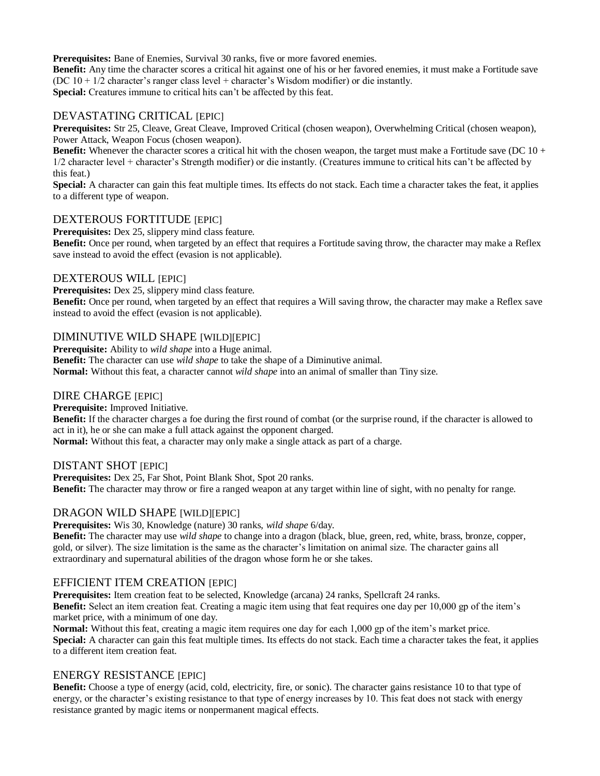**Prerequisites:** Bane of Enemies, Survival 30 ranks, five or more favored enemies.

**Benefit:** Any time the character scores a critical hit against one of his or her favored enemies, it must make a Fortitude save (DC 10 + 1/2 character's ranger class level + character's Wisdom modifier) or die instantly. **Special:** Creatures immune to critical hits can't be affected by this feat.

## DEVASTATING CRITICAL [EPIC]

**Prerequisites:** Str 25, Cleave, Great Cleave, Improved Critical (chosen weapon), Overwhelming Critical (chosen weapon), Power Attack, Weapon Focus (chosen weapon).

**Benefit:** Whenever the character scores a critical hit with the chosen weapon, the target must make a Fortitude save (DC 10 + 1/2 character level + character's Strength modifier) or die instantly. (Creatures immune to critical hits can't be affected by this feat.)

**Special:** A character can gain this feat multiple times. Its effects do not stack. Each time a character takes the feat, it applies to a different type of weapon.

## DEXTEROUS FORTITUDE [EPIC]

**Prerequisites:** Dex 25, slippery mind class feature.

**Benefit:** Once per round, when targeted by an effect that requires a Fortitude saving throw, the character may make a Reflex save instead to avoid the effect (evasion is not applicable).

## DEXTEROUS WILL [EPIC]

**Prerequisites:** Dex 25, slippery mind class feature.

**Benefit:** Once per round, when targeted by an effect that requires a Will saving throw, the character may make a Reflex save instead to avoid the effect (evasion is not applicable).

## DIMINUTIVE WILD SHAPE [WILD][EPIC]

**Prerequisite:** Ability to *wild shape* into a Huge animal.

**Benefit:** The character can use *wild shape* to take the shape of a Diminutive animal.

**Normal:** Without this feat, a character cannot *wild shape* into an animal of smaller than Tiny size.

## DIRE CHARGE [EPIC]

**Prerequisite:** Improved Initiative.

**Benefit:** If the character charges a foe during the first round of combat (or the surprise round, if the character is allowed to act in it), he or she can make a full attack against the opponent charged.

**Normal:** Without this feat, a character may only make a single attack as part of a charge.

## DISTANT SHOT [EPIC]

**Prerequisites:** Dex 25, Far Shot, Point Blank Shot, Spot 20 ranks. **Benefit:** The character may throw or fire a ranged weapon at any target within line of sight, with no penalty for range.

## DRAGON WILD SHAPE [WILD][EPIC]

**Prerequisites:** Wis 30, Knowledge (nature) 30 ranks, *wild shape* 6/day.

**Benefit:** The character may use *wild shape* to change into a dragon (black, blue, green, red, white, brass, bronze, copper, gold, or silver). The size limitation is the same as the character's limitation on animal size. The character gains all extraordinary and supernatural abilities of the dragon whose form he or she takes.

# EFFICIENT ITEM CREATION [EPIC]

**Prerequisites:** Item creation feat to be selected, Knowledge (arcana) 24 ranks, Spellcraft 24 ranks. **Benefit:** Select an item creation feat. Creating a magic item using that feat requires one day per 10,000 gp of the item's market price, with a minimum of one day.

**Normal:** Without this feat, creating a magic item requires one day for each 1,000 gp of the item's market price. **Special:** A character can gain this feat multiple times. Its effects do not stack. Each time a character takes the feat, it applies to a different item creation feat.

## ENERGY RESISTANCE **[EPIC]**

**Benefit:** Choose a type of energy (acid, cold, electricity, fire, or sonic). The character gains resistance 10 to that type of energy, or the character's existing resistance to that type of energy increases by 10. This feat does not stack with energy resistance granted by magic items or nonpermanent magical effects.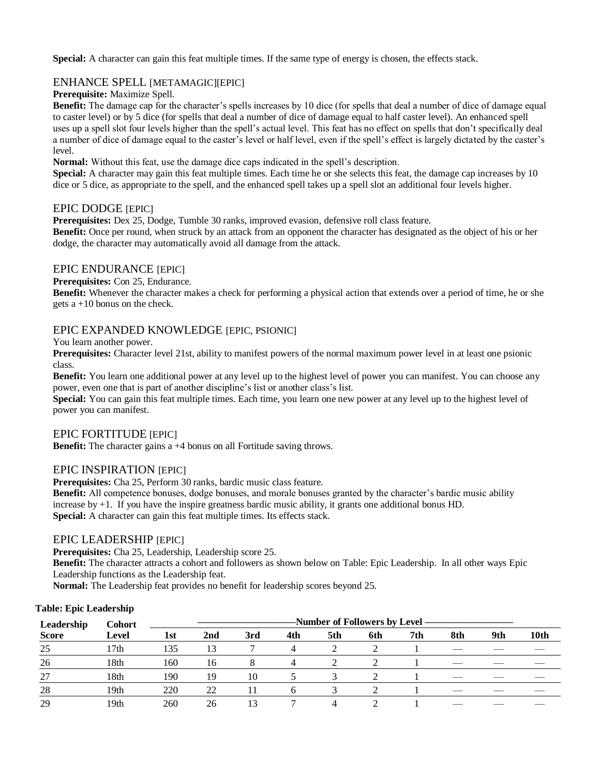**Special:** A character can gain this feat multiple times. If the same type of energy is chosen, the effects stack.

# ENHANCE SPELL [METAMAGIC][EPIC]

### **Prerequisite:** Maximize Spell.

**Benefit:** The damage cap for the character's spells increases by 10 dice (for spells that deal a number of dice of damage equal to caster level) or by 5 dice (for spells that deal a number of dice of damage equal to half caster level). An enhanced spell uses up a spell slot four levels higher than the spell's actual level. This feat has no effect on spells that don't specifically deal a number of dice of damage equal to the caster's level or half level, even if the spell's effect is largely dictated by the caster's level.

**Normal:** Without this feat, use the damage dice caps indicated in the spell's description.

**Special:** A character may gain this feat multiple times. Each time he or she selects this feat, the damage cap increases by 10 dice or 5 dice, as appropriate to the spell, and the enhanced spell takes up a spell slot an additional four levels higher.

### EPIC DODGE [EPIC]

**Prerequisites:** Dex 25, Dodge, Tumble 30 ranks, improved evasion, defensive roll class feature.

**Benefit:** Once per round, when struck by an attack from an opponent the character has designated as the object of his or her dodge, the character may automatically avoid all damage from the attack.

# EPIC ENDURANCE [EPIC]

**Prerequisites:** Con 25, Endurance.

**Benefit:** Whenever the character makes a check for performing a physical action that extends over a period of time, he or she gets a +10 bonus on the check.

## EPIC EXPANDED KNOWLEDGE [EPIC, PSIONIC]

You learn another power.

**Prerequisites:** Character level 21st, ability to manifest powers of the normal maximum power level in at least one psionic class.

**Benefit:** You learn one additional power at any level up to the highest level of power you can manifest. You can choose any power, even one that is part of another discipline's list or another class's list.

**Special:** You can gain this feat multiple times. Each time, you learn one new power at any level up to the highest level of power you can manifest.

### EPIC FORTITUDE [EPIC]

**Benefit:** The character gains a +4 bonus on all Fortitude saving throws.

## EPIC INSPIRATION [EPIC]

**Prerequisites:** Cha 25, Perform 30 ranks, bardic music class feature.

**Benefit:** All competence bonuses, dodge bonuses, and morale bonuses granted by the character's bardic music ability increase by +1. If you have the inspire greatness bardic music ability, it grants one additional bonus HD. Special: A character can gain this feat multiple times. Its effects stack.

## EPIC LEADERSHIP [EPIC]

**Prerequisites:** Cha 25, Leadership, Leadership score 25.

**Benefit:** The character attracts a cohort and followers as shown below on Table: Epic Leadership. In all other ways Epic Leadership functions as the Leadership feat.

**Normal:** The Leadership feat provides no benefit for leadership scores beyond 25.

### **Table: Epic Leadership**

| Leadership   | <b>Cohort</b> | -Number of Followers by Level ———————— |     |     |     |     |     |     |     |     |      |  |
|--------------|---------------|----------------------------------------|-----|-----|-----|-----|-----|-----|-----|-----|------|--|
| <b>Score</b> | Level         | 1st                                    | 2nd | 3rd | 4th | 5th | 6th | 7th | 8th | 9th | 10th |  |
| 25           | 17th          | 135                                    | 13  |     | 4   |     |     |     |     |     |      |  |
| 26           | 18th          | 160                                    | 16  |     |     |     |     |     |     |     |      |  |
| 27           | 18th          | 190                                    | 19  | 10  |     |     |     |     |     |     |      |  |
| 28           | 19th          | 220                                    | 22  |     | h   |     |     |     |     |     |      |  |
| 29           | 19th          | 260                                    | 26  |     |     |     |     |     |     |     |      |  |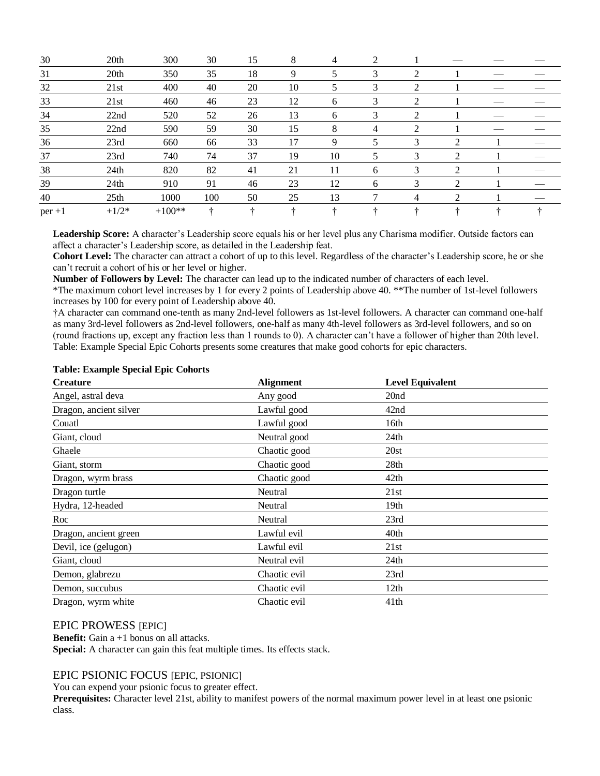| 30       | 20th             | 300      | 30  | 15 | 8  | 4  | 2 |   |                |  |
|----------|------------------|----------|-----|----|----|----|---|---|----------------|--|
| 31       | 20th             | 350      | 35  | 18 | 9  | 5  | 3 | 2 |                |  |
| 32       | 21st             | 400      | 40  | 20 | 10 |    | 3 | 2 |                |  |
| 33       | 21st             | 460      | 46  | 23 | 12 | 6  | 3 | 2 |                |  |
| 34       | 22nd             | 520      | 52  | 26 | 13 | 6  | 3 | 2 |                |  |
| 35       | 22nd             | 590      | 59  | 30 | 15 | 8  | 4 | 2 |                |  |
| 36       | 23rd             | 660      | 66  | 33 | 17 | 9  | 5 | 3 | 2              |  |
| 37       | 23rd             | 740      | 74  | 37 | 19 | 10 | 5 | 3 | 2              |  |
| 38       | 24th             | 820      | 82  | 41 | 21 | 11 | 6 | 3 | $\mathfrak{D}$ |  |
| 39       | 24th             | 910      | 91  | 46 | 23 | 12 | 6 | 3 | 2              |  |
| 40       | 25 <sub>th</sub> | 1000     | 100 | 50 | 25 | 13 |   | 4 | 2              |  |
| $per +1$ | $+1/2*$          | $+100**$ |     | ÷  |    |    |   |   |                |  |

**Leadership Score:** A character's Leadership score equals his or her level plus any Charisma modifier. Outside factors can affect a character's Leadership score, as detailed in the Leadership feat.

**Cohort Level:** The character can attract a cohort of up to this level. Regardless of the character's Leadership score, he or she can't recruit a cohort of his or her level or higher.

**Number of Followers by Level:** The character can lead up to the indicated number of characters of each level.

\*The maximum cohort level increases by 1 for every 2 points of Leadership above 40. \*\*The number of 1st-level followers increases by 100 for every point of Leadership above 40.

†A character can command one-tenth as many 2nd-level followers as 1st-level followers. A character can command one-half as many 3rd-level followers as 2nd-level followers, one-half as many 4th-level followers as 3rd-level followers, and so on (round fractions up, except any fraction less than 1 rounds to 0). A character can't have a follower of higher than 20th level. Table: Example Special Epic Cohorts presents some creatures that make good cohorts for epic characters.

| <b>Creature</b>        | <b>Alignment</b> | <b>Level Equivalent</b> |  |
|------------------------|------------------|-------------------------|--|
| Angel, astral deva     | Any good         | 20 <sub>nd</sub>        |  |
| Dragon, ancient silver | Lawful good      | 42nd                    |  |
| Couatl                 | Lawful good      | 16th                    |  |
| Giant, cloud           | Neutral good     | 24th                    |  |
| Ghaele                 | Chaotic good     | 20st                    |  |
| Giant, storm           | Chaotic good     | 28th                    |  |
| Dragon, wyrm brass     | Chaotic good     | 42th                    |  |
| Dragon turtle          | Neutral          | 21st                    |  |
| Hydra, 12-headed       | Neutral          | 19th                    |  |
| Roc                    | Neutral          | 23rd                    |  |
| Dragon, ancient green  | Lawful evil      | 40th                    |  |
| Devil, ice (gelugon)   | Lawful evil      | 21st                    |  |
| Giant, cloud           | Neutral evil     | 24th                    |  |
| Demon, glabrezu        | Chaotic evil     | 23rd                    |  |
| Demon, succubus        | Chaotic evil     | 12th                    |  |
| Dragon, wyrm white     | Chaotic evil     | 41 <sup>th</sup>        |  |

#### **Table: Example Special Epic Cohorts**

### EPIC PROWESS [EPIC]

**Benefit:** Gain a +1 bonus on all attacks. **Special:** A character can gain this feat multiple times. Its effects stack.

### EPIC PSIONIC FOCUS [EPIC, PSIONIC]

You can expend your psionic focus to greater effect.

**Prerequisites:** Character level 21st, ability to manifest powers of the normal maximum power level in at least one psionic class.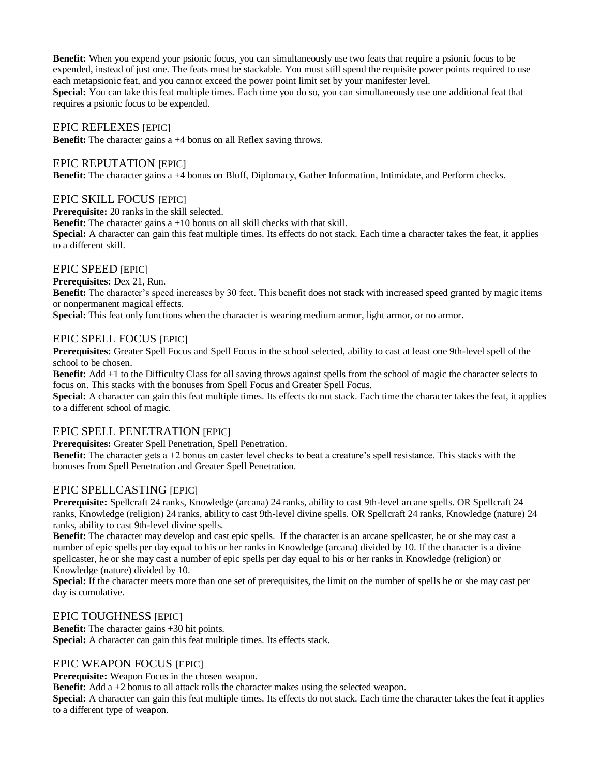**Benefit:** When you expend your psionic focus, you can simultaneously use two feats that require a psionic focus to be expended, instead of just one. The feats must be stackable. You must still spend the requisite power points required to use each metapsionic feat, and you cannot exceed the power point limit set by your manifester level. **Special:** You can take this feat multiple times. Each time you do so, you can simultaneously use one additional feat that requires a psionic focus to be expended.

### EPIC REFLEXES [EPIC]

**Benefit:** The character gains a +4 bonus on all Reflex saving throws.

### EPIC REPUTATION [EPIC]

**Benefit:** The character gains a +4 bonus on Bluff, Diplomacy, Gather Information, Intimidate, and Perform checks.

### EPIC SKILL FOCUS [EPIC]

**Prerequisite:** 20 ranks in the skill selected.

**Benefit:** The character gains a +10 bonus on all skill checks with that skill.

**Special:** A character can gain this feat multiple times. Its effects do not stack. Each time a character takes the feat, it applies to a different skill.

## EPIC SPEED [EPIC]

**Prerequisites:** Dex 21, Run.

**Benefit:** The character's speed increases by 30 feet. This benefit does not stack with increased speed granted by magic items or nonpermanent magical effects.

**Special:** This feat only functions when the character is wearing medium armor, light armor, or no armor.

### EPIC SPELL FOCUS [EPIC]

**Prerequisites:** Greater Spell Focus and Spell Focus in the school selected, ability to cast at least one 9th-level spell of the school to be chosen.

**Benefit:** Add +1 to the Difficulty Class for all saving throws against spells from the school of magic the character selects to focus on. This stacks with the bonuses from Spell Focus and Greater Spell Focus.

**Special:** A character can gain this feat multiple times. Its effects do not stack. Each time the character takes the feat, it applies to a different school of magic.

## EPIC SPELL PENETRATION [EPIC]

**Prerequisites:** Greater Spell Penetration, Spell Penetration.

**Benefit:** The character gets a +2 bonus on caster level checks to beat a creature's spell resistance. This stacks with the bonuses from Spell Penetration and Greater Spell Penetration.

## EPIC SPELLCASTING [EPIC]

**Prerequisite:** Spellcraft 24 ranks, Knowledge (arcana) 24 ranks, ability to cast 9th-level arcane spells. OR Spellcraft 24 ranks, Knowledge (religion) 24 ranks, ability to cast 9th-level divine spells. OR Spellcraft 24 ranks, Knowledge (nature) 24 ranks, ability to cast 9th-level divine spells.

**Benefit:** The character may develop and cast epic spells. If the character is an arcane spellcaster, he or she may cast a number of epic spells per day equal to his or her ranks in Knowledge (arcana) divided by 10. If the character is a divine spellcaster, he or she may cast a number of epic spells per day equal to his or her ranks in Knowledge (religion) or Knowledge (nature) divided by 10.

**Special:** If the character meets more than one set of prerequisites, the limit on the number of spells he or she may cast per day is cumulative.

## EPIC TOUGHNESS [EPIC]

**Benefit:** The character gains +30 hit points. Special: A character can gain this feat multiple times. Its effects stack.

## EPIC WEAPON FOCUS [EPIC]

**Prerequisite:** Weapon Focus in the chosen weapon.

**Benefit:** Add a +2 bonus to all attack rolls the character makes using the selected weapon.

**Special:** A character can gain this feat multiple times. Its effects do not stack. Each time the character takes the feat it applies to a different type of weapon.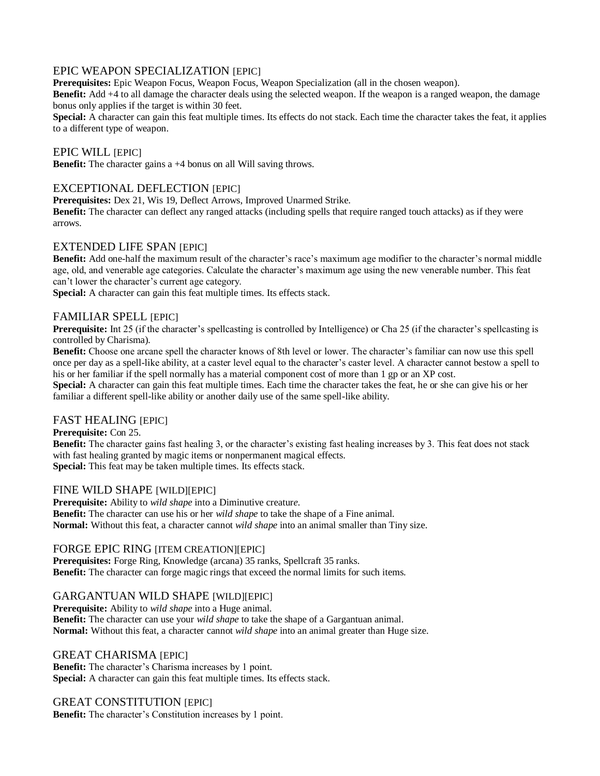# EPIC WEAPON SPECIALIZATION [EPIC]

**Prerequisites:** Epic Weapon Focus, Weapon Focus, Weapon Specialization (all in the chosen weapon).

**Benefit:** Add +4 to all damage the character deals using the selected weapon. If the weapon is a ranged weapon, the damage bonus only applies if the target is within 30 feet.

**Special:** A character can gain this feat multiple times. Its effects do not stack. Each time the character takes the feat, it applies to a different type of weapon.

## EPIC WILL [EPIC]

**Benefit:** The character gains a +4 bonus on all Will saving throws.

# EXCEPTIONAL DEFLECTION [EPIC]

**Prerequisites:** Dex 21, Wis 19, Deflect Arrows, Improved Unarmed Strike.

**Benefit:** The character can deflect any ranged attacks (including spells that require ranged touch attacks) as if they were arrows.

### EXTENDED LIFE SPAN [EPIC]

**Benefit:** Add one-half the maximum result of the character's race's maximum age modifier to the character's normal middle age, old, and venerable age categories. Calculate the character's maximum age using the new venerable number. This feat can't lower the character's current age category.

Special: A character can gain this feat multiple times. Its effects stack.

## FAMILIAR SPELL [EPIC]

**Prerequisite:** Int 25 (if the character's spellcasting is controlled by Intelligence) or Cha 25 (if the character's spellcasting is controlled by Charisma).

**Benefit:** Choose one arcane spell the character knows of 8th level or lower. The character's familiar can now use this spell once per day as a spell-like ability, at a caster level equal to the character's caster level. A character cannot bestow a spell to his or her familiar if the spell normally has a material component cost of more than 1 gp or an XP cost.

**Special:** A character can gain this feat multiple times. Each time the character takes the feat, he or she can give his or her familiar a different spell-like ability or another daily use of the same spell-like ability.

# FAST HEALING [EPIC]

**Prerequisite:** Con 25.

**Benefit:** The character gains fast healing 3, or the character's existing fast healing increases by 3. This feat does not stack with fast healing granted by magic items or nonpermanent magical effects. **Special:** This feat may be taken multiple times. Its effects stack.

### FINE WILD SHAPE [WILD][EPIC]

**Prerequisite:** Ability to *wild shape* into a Diminutive creatur*e.*  **Benefit:** The character can use his or her *wild shape* to take the shape of a Fine animal. **Normal:** Without this feat, a character cannot *wild shape* into an animal smaller than Tiny size.

## FORGE EPIC RING [ITEM CREATION][EPIC]

**Prerequisites:** Forge Ring, Knowledge (arcana) 35 ranks, Spellcraft 35 ranks. **Benefit:** The character can forge magic rings that exceed the normal limits for such items.

## GARGANTUAN WILD SHAPE [WILD][EPIC]

**Prerequisite:** Ability to *wild shape* into a Huge animal. **Benefit:** The character can use your *wild shape* to take the shape of a Gargantuan animal. **Normal:** Without this feat, a character cannot *wild shape* into an animal greater than Huge size.

## GREAT CHARISMA [EPIC]

**Benefit:** The character's Charisma increases by 1 point. Special: A character can gain this feat multiple times. Its effects stack.

## GREAT CONSTITUTION [EPIC]

**Benefit:** The character's Constitution increases by 1 point.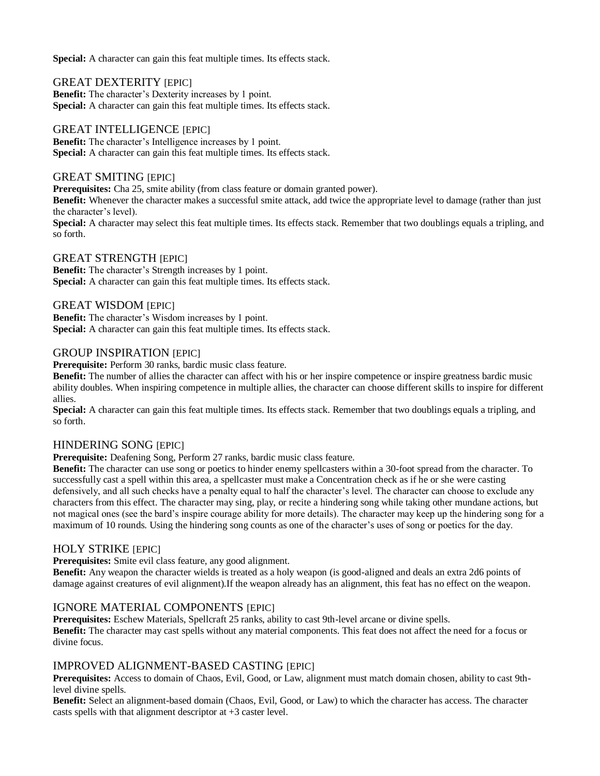Special: A character can gain this feat multiple times. Its effects stack.

### **GREAT DEXTERITY [EPIC]**

**Benefit:** The character's Dexterity increases by 1 point. **Special:** A character can gain this feat multiple times. Its effects stack.

### GREAT INTELLIGENCE [EPIC]

**Benefit:** The character's Intelligence increases by 1 point. Special: A character can gain this feat multiple times. Its effects stack.

### GREAT SMITING [EPIC]

**Prerequisites:** Cha 25, smite ability (from class feature or domain granted power).

**Benefit:** Whenever the character makes a successful smite attack, add twice the appropriate level to damage (rather than just the character's level).

**Special:** A character may select this feat multiple times. Its effects stack. Remember that two doublings equals a tripling, and so forth.

### GREAT STRENGTH [EPIC]

**Benefit:** The character's Strength increases by 1 point. Special: A character can gain this feat multiple times. Its effects stack.

### GREAT WISDOM [EPIC]

**Benefit:** The character's Wisdom increases by 1 point. **Special:** A character can gain this feat multiple times. Its effects stack.

## GROUP INSPIRATION [EPIC]

**Prerequisite:** Perform 30 ranks, bardic music class feature.

**Benefit:** The number of allies the character can affect with his or her inspire competence or inspire greatness bardic music ability doubles. When inspiring competence in multiple allies, the character can choose different skills to inspire for different allies.

**Special:** A character can gain this feat multiple times. Its effects stack. Remember that two doublings equals a tripling, and so forth.

## HINDERING SONG [EPIC]

**Prerequisite:** Deafening Song, Perform 27 ranks, bardic music class feature.

**Benefit:** The character can use song or poetics to hinder enemy spellcasters within a 30-foot spread from the character. To successfully cast a spell within this area, a spellcaster must make a Concentration check as if he or she were casting defensively, and all such checks have a penalty equal to half the character's level. The character can choose to exclude any characters from this effect. The character may sing, play, or recite a hindering song while taking other mundane actions, but not magical ones (see the bard's inspire courage ability for more details). The character may keep up the hindering song for a maximum of 10 rounds. Using the hindering song counts as one of the character's uses of song or poetics for the day.

## HOLY STRIKE [EPIC]

**Prerequisites:** Smite evil class feature, any good alignment.

**Benefit:** Any weapon the character wields is treated as a holy weapon (is good-aligned and deals an extra 2d6 points of damage against creatures of evil alignment).If the weapon already has an alignment, this feat has no effect on the weapon.

## IGNORE MATERIAL COMPONENTS [EPIC]

**Prerequisites:** Eschew Materials, Spellcraft 25 ranks, ability to cast 9th-level arcane or divine spells. **Benefit:** The character may cast spells without any material components. This feat does not affect the need for a focus or divine focus.

## IMPROVED ALIGNMENT-BASED CASTING [EPIC]

**Prerequisites:** Access to domain of Chaos, Evil, Good, or Law, alignment must match domain chosen, ability to cast 9thlevel divine spells.

**Benefit:** Select an alignment-based domain (Chaos, Evil, Good, or Law) to which the character has access. The character casts spells with that alignment descriptor at +3 caster level.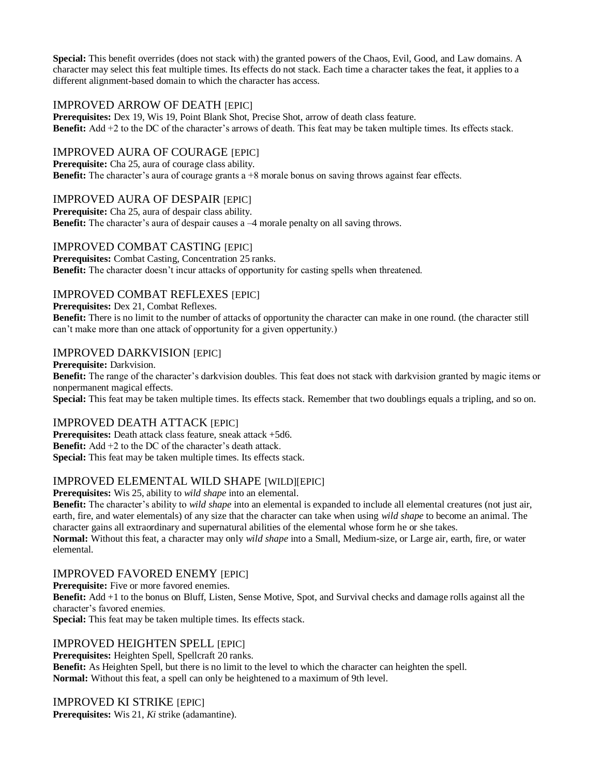**Special:** This benefit overrides (does not stack with) the granted powers of the Chaos, Evil, Good, and Law domains. A character may select this feat multiple times. Its effects do not stack. Each time a character takes the feat, it applies to a different alignment-based domain to which the character has access.

# IMPROVED ARROW OF DEATH [EPIC]

**Prerequisites:** Dex 19, Wis 19, Point Blank Shot, Precise Shot, arrow of death class feature. **Benefit:** Add +2 to the DC of the character's arrows of death. This feat may be taken multiple times. Its effects stack.

# IMPROVED AURA OF COURAGE [EPIC]

**Prerequisite:** Cha 25, aura of courage class ability. **Benefit:** The character's aura of courage grants a +8 morale bonus on saving throws against fear effects.

# IMPROVED AURA OF DESPAIR [EPIC]

**Prerequisite:** Cha 25, aura of despair class ability. **Benefit:** The character's aura of despair causes a  $-4$  morale penalty on all saving throws.

## IMPROVED COMBAT CASTING [EPIC]

**Prerequisites:** Combat Casting, Concentration 25 ranks. **Benefit:** The character doesn't incur attacks of opportunity for casting spells when threatened.

## IMPROVED COMBAT REFLEXES [EPIC]

**Prerequisites:** Dex 21, Combat Reflexes.

**Benefit:** There is no limit to the number of attacks of opportunity the character can make in one round. (the character still can't make more than one attack of opportunity for a given oppertunity.)

## IMPROVED DARKVISION [EPIC]

**Prerequisite:** Darkvision.

**Benefit:** The range of the character's darkvision doubles. This feat does not stack with darkvision granted by magic items or nonpermanent magical effects.

**Special:** This feat may be taken multiple times. Its effects stack. Remember that two doublings equals a tripling, and so on.

## IMPROVED DEATH ATTACK [EPIC]

**Prerequisites:** Death attack class feature, sneak attack +5d6. **Benefit:** Add +2 to the DC of the character's death attack. **Special:** This feat may be taken multiple times. Its effects stack.

## IMPROVED ELEMENTAL WILD SHAPE [WILD][EPIC]

**Prerequisites:** Wis 25, ability to *wild shape* into an elemental.

**Benefit:** The character's ability to *wild shape* into an elemental is expanded to include all elemental creatures (not just air, earth, fire, and water elementals) of any size that the character can take when using *wild shape* to become an animal. The character gains all extraordinary and supernatural abilities of the elemental whose form he or she takes.

**Normal:** Without this feat, a character may only *wild shape* into a Small, Medium-size, or Large air, earth, fire, or water elemental.

## IMPROVED FAVORED ENEMY [EPIC]

**Prerequisite:** Five or more favored enemies.

**Benefit:** Add +1 to the bonus on Bluff, Listen, Sense Motive, Spot, and Survival checks and damage rolls against all the character's favored enemies.

**Special:** This feat may be taken multiple times. Its effects stack.

## IMPROVED HEIGHTEN SPELL [EPIC]

**Prerequisites:** Heighten Spell, Spellcraft 20 ranks. **Benefit:** As Heighten Spell, but there is no limit to the level to which the character can heighten the spell. **Normal:** Without this feat, a spell can only be heightened to a maximum of 9th level.

## IMPROVED KI STRIKE [EPIC]

**Prerequisites:** Wis 21, *Ki* strike (adamantine).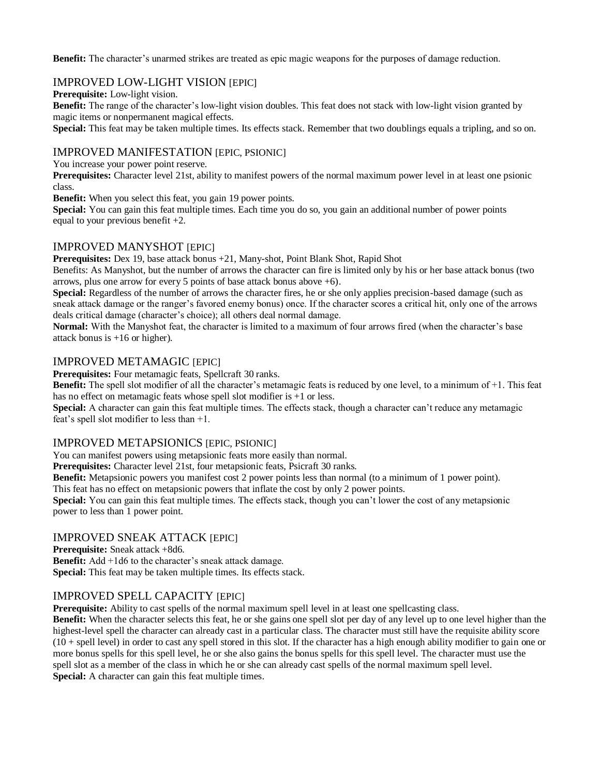**Benefit:** The character's unarmed strikes are treated as epic magic weapons for the purposes of damage reduction.

# IMPROVED LOW-LIGHT VISION [EPIC]

**Prerequisite:** Low-light vision.

**Benefit:** The range of the character's low-light vision doubles. This feat does not stack with low-light vision granted by magic items or nonpermanent magical effects.

**Special:** This feat may be taken multiple times. Its effects stack. Remember that two doublings equals a tripling, and so on.

### IMPROVED MANIFESTATION [EPIC, PSIONIC]

You increase your power point reserve.

**Prerequisites:** Character level 21st, ability to manifest powers of the normal maximum power level in at least one psionic class.

**Benefit:** When you select this feat, you gain 19 power points.

**Special:** You can gain this feat multiple times. Each time you do so, you gain an additional number of power points equal to your previous benefit +2.

### IMPROVED MANYSHOT [EPIC]

**Prerequisites:** Dex 19, base attack bonus +21, Many-shot, Point Blank Shot, Rapid Shot Benefits: As Manyshot, but the number of arrows the character can fire is limited only by his or her base attack bonus (two arrows, plus one arrow for every 5 points of base attack bonus above  $+6$ ).

**Special:** Regardless of the number of arrows the character fires, he or she only applies precision-based damage (such as sneak attack damage or the ranger's favored enemy bonus) once. If the character scores a critical hit, only one of the arrows deals critical damage (character's choice); all others deal normal damage.

**Normal:** With the Manyshot feat, the character is limited to a maximum of four arrows fired (when the character's base attack bonus is +16 or higher).

### IMPROVED METAMAGIC [EPIC]

**Prerequisites:** Four metamagic feats, Spellcraft 30 ranks.

**Benefit:** The spell slot modifier of all the character's metamagic feats is reduced by one level, to a minimum of +1. This feat has no effect on metamagic feats whose spell slot modifier is +1 or less.

**Special:** A character can gain this feat multiple times. The effects stack, though a character can't reduce any metamagic feat's spell slot modifier to less than +1.

## IMPROVED METAPSIONICS [EPIC, PSIONIC]

You can manifest powers using metapsionic feats more easily than normal.

**Prerequisites:** Character level 21st, four metapsionic feats, Psicraft 30 ranks.

**Benefit:** Metapsionic powers you manifest cost 2 power points less than normal (to a minimum of 1 power point).

This feat has no effect on metapsionic powers that inflate the cost by only 2 power points.

**Special:** You can gain this feat multiple times. The effects stack, though you can't lower the cost of any metapsionic power to less than 1 power point.

### IMPROVED SNEAK ATTACK [EPIC]

**Prerequisite:** Sneak attack +8d6.

**Benefit:** Add +1d6 to the character's sneak attack damage.

**Special:** This feat may be taken multiple times. Its effects stack.

### IMPROVED SPELL CAPACITY [EPIC]

**Prerequisite:** Ability to cast spells of the normal maximum spell level in at least one spellcasting class.

**Benefit:** When the character selects this feat, he or she gains one spell slot per day of any level up to one level higher than the highest-level spell the character can already cast in a particular class. The character must still have the requisite ability score (10 + spell level) in order to cast any spell stored in this slot. If the character has a high enough ability modifier to gain one or more bonus spells for this spell level, he or she also gains the bonus spells for this spell level. The character must use the spell slot as a member of the class in which he or she can already cast spells of the normal maximum spell level. **Special:** A character can gain this feat multiple times.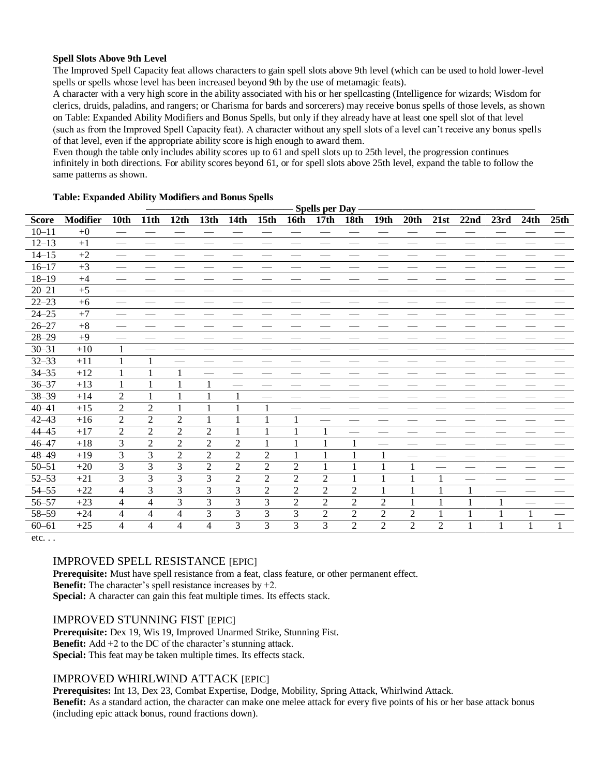#### **Spell Slots Above 9th Level**

The Improved Spell Capacity feat allows characters to gain spell slots above 9th level (which can be used to hold lower-level spells or spells whose level has been increased beyond 9th by the use of metamagic feats).

A character with a very high score in the ability associated with his or her spellcasting (Intelligence for wizards; Wisdom for clerics, druids, paladins, and rangers; or Charisma for bards and sorcerers) may receive bonus spells of those levels, as shown on Table: Expanded Ability Modifiers and Bonus Spells, but only if they already have at least one spell slot of that level (such as from the Improved Spell Capacity feat). A character without any spell slots of a level can't receive any bonus spells of that level, even if the appropriate ability score is high enough to award them.

Even though the table only includes ability scores up to 61 and spell slots up to 25th level, the progression continues infinitely in both directions. For ability scores beyond 61, or for spell slots above 25th level, expand the table to follow the same patterns as shown.

|              |                 |                |                |                |                  |                |                  |                | <b>Spells per Day</b> |                |                |                |            |      |      |      |      |
|--------------|-----------------|----------------|----------------|----------------|------------------|----------------|------------------|----------------|-----------------------|----------------|----------------|----------------|------------|------|------|------|------|
| <b>Score</b> | <b>Modifier</b> | 10th           | 11th           | 12th           | 13 <sub>th</sub> | 14th           | 15 <sub>th</sub> | <b>16th</b>    | 17 <sub>th</sub>      | <b>18th</b>    | 19th           | 20th           | 21st       | 22nd | 23rd | 24th | 25th |
| $10 - 11$    | $+0$            |                |                |                |                  |                |                  |                |                       |                |                |                |            |      |      |      |      |
| $12 - 13$    | $+1$            |                |                |                |                  |                |                  |                |                       |                |                |                |            |      |      |      |      |
| $14 - 15$    | $+2$            |                |                |                |                  |                |                  |                |                       |                |                |                |            |      |      |      |      |
| $16 - 17$    | $+3$            |                |                |                |                  |                |                  |                |                       |                |                |                |            |      |      |      |      |
| $18 - 19$    | $+4$            |                |                |                |                  |                |                  |                |                       |                |                |                |            |      |      |      |      |
| $20 - 21$    | $+5$            |                |                |                |                  |                |                  |                |                       |                |                |                |            |      |      |      |      |
| $22 - 23$    | $+6$            |                |                |                |                  |                |                  |                |                       |                |                |                |            |      |      |      |      |
| $24 - 25$    | $+7$            |                |                |                |                  |                |                  |                |                       |                |                |                |            |      |      |      |      |
| $26 - 27$    | $+8$            |                |                |                |                  |                |                  |                |                       |                |                |                |            |      |      |      |      |
| $28 - 29$    | $+9$            |                |                |                |                  |                |                  |                |                       |                |                |                |            |      |      |      |      |
| $30 - 31$    | $+10$           | 1              |                |                |                  |                |                  |                |                       |                |                |                |            |      |      |      |      |
| $32 - 33$    | $+11$           | 1              |                |                |                  |                |                  |                |                       |                |                |                |            |      |      |      |      |
| $34 - 35$    | $+12$           | 1              |                |                |                  |                |                  |                |                       |                |                |                |            |      |      |      |      |
| $36 - 37$    | $+13$           | 1              |                |                |                  |                |                  |                |                       |                |                |                |            |      |      |      |      |
| $38 - 39$    | $+14$           | $\overline{2}$ |                |                |                  |                |                  |                |                       |                |                |                |            |      |      |      |      |
| $40 - 41$    | $+15$           | $\overline{2}$ | $\overline{2}$ |                |                  |                |                  |                |                       |                |                |                |            |      |      |      |      |
| $42 - 43$    | $+16$           | $\overline{2}$ | $\sqrt{2}$     | $\mathfrak 2$  | 1                |                |                  |                |                       |                |                |                |            |      |      |      |      |
| $44 - 45$    | $+17$           | $\overline{2}$ | $\overline{2}$ | $\overline{2}$ | $\overline{2}$   |                |                  |                |                       |                |                |                |            |      |      |      |      |
| $46 - 47$    | $+18$           | 3              | $\overline{2}$ | $\overline{2}$ | $\overline{2}$   | $\overline{2}$ |                  |                |                       |                |                |                |            |      |      |      |      |
| 48-49        | $+19$           | 3              | 3              | $\overline{2}$ | $\overline{2}$   | $\overline{2}$ | $\overline{2}$   |                |                       |                |                |                |            |      |      |      |      |
| $50 - 51$    | $+20$           | 3              | 3              | 3              | $\overline{2}$   | $\overline{2}$ | $\overline{2}$   | $\overline{2}$ |                       |                |                |                |            |      |      |      |      |
| $52 - 53$    | $+21$           | 3              | 3              | 3              | 3                | $\overline{2}$ | $\overline{2}$   | $\overline{2}$ | $\overline{2}$        |                |                |                |            |      |      |      |      |
| $54 - 55$    | $+22$           | 4              | 3              | 3              | 3                | 3              | $\overline{2}$   | $\overline{2}$ | $\overline{2}$        | $\overline{2}$ |                |                |            |      |      |      |      |
| $56 - 57$    | $+23$           | 4              | 4              | 3              | 3                | 3              | 3                | $\overline{2}$ | $\overline{2}$        | $\overline{2}$ | $\overline{2}$ |                |            | 1    |      |      |      |
| 58-59        | $+24$           | $\overline{4}$ | 4              | 4              | 3                | 3              | 3                | 3              | $\overline{2}$        | $\overline{2}$ | $\overline{2}$ | $\overline{2}$ |            |      |      |      |      |
| $60 - 61$    | $+25$           | 4              | 4              | 4              | 4                | 3              | 3                | $\overline{3}$ | 3                     | $\overline{2}$ | $\overline{2}$ | $\overline{2}$ | $\sqrt{2}$ |      |      |      |      |

#### **Table: Expanded Ability Modifiers and Bonus Spells**

etc. . .

# IMPROVED SPELL RESISTANCE [EPIC]

**Prerequisite:** Must have spell resistance from a feat, class feature, or other permanent effect. **Benefit:** The character's spell resistance increases by  $+2$ . Special: A character can gain this feat multiple times. Its effects stack.

# IMPROVED STUNNING FIST [EPIC]

**Prerequisite:** Dex 19, Wis 19, Improved Unarmed Strike, Stunning Fist. **Benefit:** Add +2 to the DC of the character's stunning attack. **Special:** This feat may be taken multiple times. Its effects stack.

# IMPROVED WHIRLWIND ATTACK [EPIC]

**Prerequisites:** Int 13, Dex 23, Combat Expertise, Dodge, Mobility, Spring Attack, Whirlwind Attack.

**Benefit:** As a standard action, the character can make one melee attack for every five points of his or her base attack bonus (including epic attack bonus, round fractions down).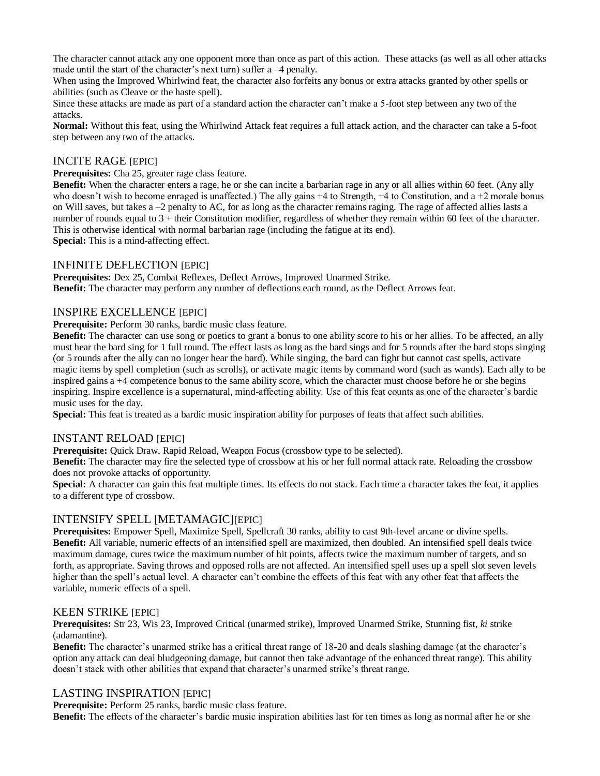The character cannot attack any one opponent more than once as part of this action. These attacks (as well as all other attacks made until the start of the character's next turn) suffer a –4 penalty.

When using the Improved Whirlwind feat, the character also forfeits any bonus or extra attacks granted by other spells or abilities (such as Cleave or the haste spell).

Since these attacks are made as part of a standard action the character can't make a 5-foot step between any two of the attacks.

**Normal:** Without this feat, using the Whirlwind Attack feat requires a full attack action, and the character can take a 5-foot step between any two of the attacks.

## INCITE RAGE [EPIC]

**Prerequisites:** Cha 25, greater rage class feature.

**Benefit:** When the character enters a rage, he or she can incite a barbarian rage in any or all allies within 60 feet. (Any ally who doesn't wish to become enraged is unaffected.) The ally gains  $+4$  to Strength,  $+4$  to Constitution, and a  $+2$  morale bonus on Will saves, but takes a  $-2$  penalty to AC, for as long as the character remains raging. The rage of affected allies lasts a number of rounds equal to 3 + their Constitution modifier, regardless of whether they remain within 60 feet of the character. This is otherwise identical with normal barbarian rage (including the fatigue at its end). **Special:** This is a mind-affecting effect.

### INFINITE DEFLECTION [EPIC]

**Prerequisites:** Dex 25, Combat Reflexes, Deflect Arrows, Improved Unarmed Strike. **Benefit:** The character may perform any number of deflections each round, as the Deflect Arrows feat.

### INSPIRE EXCELLENCE [EPIC]

**Prerequisite:** Perform 30 ranks, bardic music class feature.

**Benefit:** The character can use song or poetics to grant a bonus to one ability score to his or her allies. To be affected, an ally must hear the bard sing for 1 full round. The effect lasts as long as the bard sings and for 5 rounds after the bard stops singing (or 5 rounds after the ally can no longer hear the bard). While singing, the bard can fight but cannot cast spells, activate magic items by spell completion (such as scrolls), or activate magic items by command word (such as wands). Each ally to be inspired gains a +4 competence bonus to the same ability score, which the character must choose before he or she begins inspiring. Inspire excellence is a supernatural, mind-affecting ability. Use of this feat counts as one of the character's bardic music uses for the day.

**Special:** This feat is treated as a bardic music inspiration ability for purposes of feats that affect such abilities.

### INSTANT RELOAD [EPIC]

**Prerequisite:** Quick Draw, Rapid Reload, Weapon Focus (crossbow type to be selected).

**Benefit:** The character may fire the selected type of crossbow at his or her full normal attack rate. Reloading the crossbow does not provoke attacks of opportunity.

**Special:** A character can gain this feat multiple times. Its effects do not stack. Each time a character takes the feat, it applies to a different type of crossbow.

### INTENSIFY SPELL [METAMAGIC][EPIC]

**Prerequisites:** Empower Spell, Maximize Spell, Spellcraft 30 ranks, ability to cast 9th-level arcane or divine spells. **Benefit:** All variable, numeric effects of an intensified spell are maximized, then doubled. An intensified spell deals twice maximum damage, cures twice the maximum number of hit points, affects twice the maximum number of targets, and so forth, as appropriate. Saving throws and opposed rolls are not affected. An intensified spell uses up a spell slot seven levels higher than the spell's actual level. A character can't combine the effects of this feat with any other feat that affects the variable, numeric effects of a spell.

### KEEN STRIKE [EPIC]

**Prerequisites:** Str 23, Wis 23, Improved Critical (unarmed strike), Improved Unarmed Strike, Stunning fist, *ki* strike (adamantine).

**Benefit:** The character's unarmed strike has a critical threat range of 18-20 and deals slashing damage (at the character's option any attack can deal bludgeoning damage, but cannot then take advantage of the enhanced threat range). This ability doesn't stack with other abilities that expand that character's unarmed strike's threat range.

## LASTING INSPIRATION [EPIC]

**Prerequisite:** Perform 25 ranks, bardic music class feature.

**Benefit:** The effects of the character's bardic music inspiration abilities last for ten times as long as normal after he or she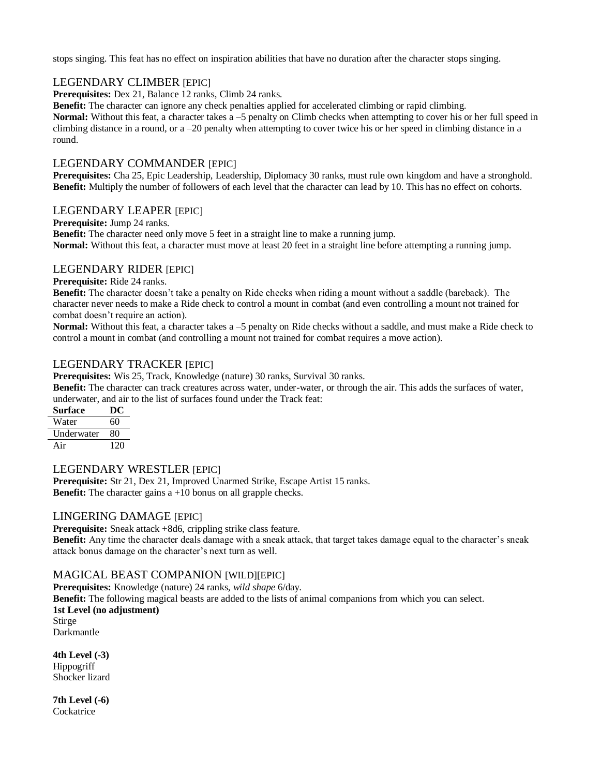stops singing. This feat has no effect on inspiration abilities that have no duration after the character stops singing.

# LEGENDARY CLIMBER [EPIC]

**Prerequisites:** Dex 21, Balance 12 ranks, Climb 24 ranks.

**Benefit:** The character can ignore any check penalties applied for accelerated climbing or rapid climbing.

**Normal:** Without this feat, a character takes a -5 penalty on Climb checks when attempting to cover his or her full speed in climbing distance in a round, or a –20 penalty when attempting to cover twice his or her speed in climbing distance in a round.

# LEGENDARY COMMANDER [EPIC]

**Prerequisites:** Cha 25, Epic Leadership, Leadership, Diplomacy 30 ranks, must rule own kingdom and have a stronghold. **Benefit:** Multiply the number of followers of each level that the character can lead by 10. This has no effect on cohorts.

### LEGENDARY LEAPER [EPIC]

**Prerequisite:** Jump 24 ranks.

**Benefit:** The character need only move 5 feet in a straight line to make a running jump. **Normal:** Without this feat, a character must move at least 20 feet in a straight line before attempting a running jump.

## LEGENDARY RIDER [EPIC]

**Prerequisite:** Ride 24 ranks.

**Benefit:** The character doesn't take a penalty on Ride checks when riding a mount without a saddle (bareback). The character never needs to make a Ride check to control a mount in combat (and even controlling a mount not trained for combat doesn't require an action).

**Normal:** Without this feat, a character takes a –5 penalty on Ride checks without a saddle, and must make a Ride check to control a mount in combat (and controlling a mount not trained for combat requires a move action).

## LEGENDARY TRACKER [EPIC]

**Prerequisites:** Wis 25, Track, Knowledge (nature) 30 ranks, Survival 30 ranks.

**Benefit:** The character can track creatures across water, under-water, or through the air. This adds the surfaces of water, underwater, and air to the list of surfaces found under the Track feat:

| Surface           | DC  |
|-------------------|-----|
| Water             | 60  |
| <b>Underwater</b> | 80  |
| Air               | 120 |

## LEGENDARY WRESTLER [EPIC]

**Prerequisite:** Str 21, Dex 21, Improved Unarmed Strike, Escape Artist 15 ranks. **Benefit:** The character gains a +10 bonus on all grapple checks.

### LINGERING DAMAGE [EPIC]

**Prerequisite:** Sneak attack +8d6, crippling strike class feature.

**Benefit:** Any time the character deals damage with a sneak attack, that target takes damage equal to the character's sneak attack bonus damage on the character's next turn as well.

## MAGICAL BEAST COMPANION [WILD][EPIC]

**Prerequisites:** Knowledge (nature) 24 ranks, *wild shape* 6/day. **Benefit:** The following magical beasts are added to the lists of animal companions from which you can select. **1st Level (no adjustment)** Stirge Darkmantle

**4th Level (-3) Hippogriff** Shocker lizard

**7th Level (-6) Cockatrice**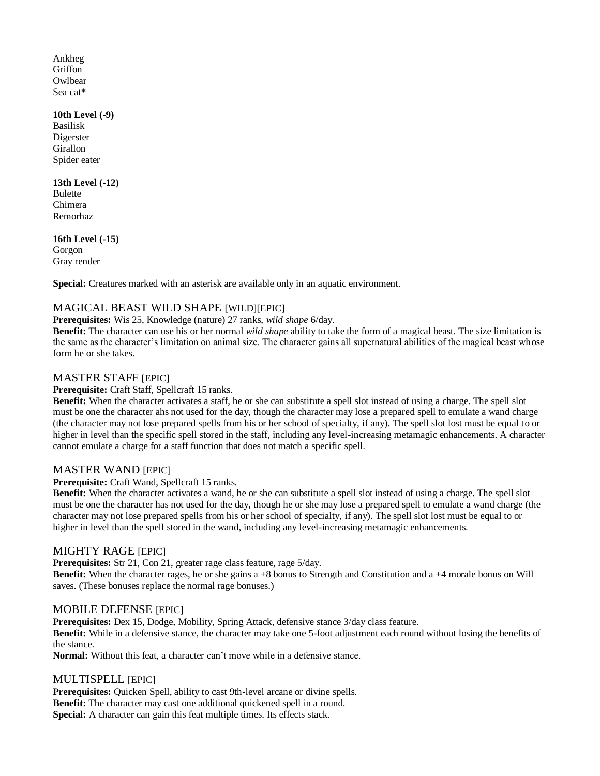Ankheg Griffon **Owlbear** Sea cat\*

#### **10th Level (-9)**

Basilisk Digerster Girallon Spider eater

### **13th Level (-12)**

Bulette Chimera Remorhaz

## **16th Level (-15)**

Gorgon Gray render

**Special:** Creatures marked with an asterisk are available only in an aquatic environment.

# MAGICAL BEAST WILD SHAPE [WILD][EPIC]

**Prerequisites:** Wis 25, Knowledge (nature) 27 ranks, *wild shape* 6/day.

**Benefit:** The character can use his or her normal *wild shape* ability to take the form of a magical beast. The size limitation is the same as the character's limitation on animal size. The character gains all supernatural abilities of the magical beast whose form he or she takes.

## MASTER STAFF [EPIC]

### **Prerequisite:** Craft Staff, Spellcraft 15 ranks.

**Benefit:** When the character activates a staff, he or she can substitute a spell slot instead of using a charge. The spell slot must be one the character ahs not used for the day, though the character may lose a prepared spell to emulate a wand charge (the character may not lose prepared spells from his or her school of specialty, if any). The spell slot lost must be equal to or higher in level than the specific spell stored in the staff, including any level-increasing metamagic enhancements. A character cannot emulate a charge for a staff function that does not match a specific spell.

## MASTER WAND [EPIC]

### **Prerequisite:** Craft Wand, Spellcraft 15 ranks.

**Benefit:** When the character activates a wand, he or she can substitute a spell slot instead of using a charge. The spell slot must be one the character has not used for the day, though he or she may lose a prepared spell to emulate a wand charge (the character may not lose prepared spells from his or her school of specialty, if any). The spell slot lost must be equal to or higher in level than the spell stored in the wand, including any level-increasing metamagic enhancements.

## MIGHTY RAGE [EPIC]

**Prerequisites:** Str 21, Con 21, greater rage class feature, rage 5/day. **Benefit:** When the character rages, he or she gains a +8 bonus to Strength and Constitution and a +4 morale bonus on Will saves. (These bonuses replace the normal rage bonuses.)

## MOBILE DEFENSE [EPIC]

**Prerequisites:** Dex 15, Dodge, Mobility, Spring Attack, defensive stance 3/day class feature. **Benefit:** While in a defensive stance, the character may take one 5-foot adjustment each round without losing the benefits of the stance.

**Normal:** Without this feat, a character can't move while in a defensive stance.

## MULTISPELL [EPIC]

**Prerequisites:** Quicken Spell, ability to cast 9th-level arcane or divine spells. **Benefit:** The character may cast one additional quickened spell in a round. Special: A character can gain this feat multiple times. Its effects stack.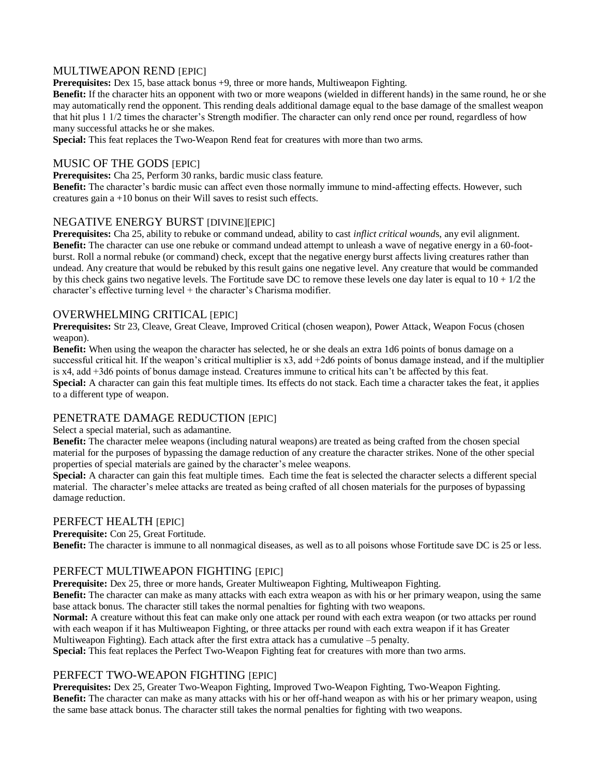## MULTIWEAPON REND [EPIC]

**Prerequisites:** Dex 15, base attack bonus +9, three or more hands, Multiweapon Fighting.

**Benefit:** If the character hits an opponent with two or more weapons (wielded in different hands) in the same round, he or she may automatically rend the opponent. This rending deals additional damage equal to the base damage of the smallest weapon that hit plus 1 1/2 times the character's Strength modifier. The character can only rend once per round, regardless of how many successful attacks he or she makes.

**Special:** This feat replaces the Two-Weapon Rend feat for creatures with more than two arms.

# MUSIC OF THE GODS [EPIC]

**Prerequisites:** Cha 25, Perform 30 ranks, bardic music class feature.

**Benefit:** The character's bardic music can affect even those normally immune to mind-affecting effects. However, such creatures gain a +10 bonus on their Will saves to resist such effects.

## NEGATIVE ENERGY BURST [DIVINE][EPIC]

**Prerequisites:** Cha 25, ability to rebuke or command undead, ability to cast *inflict critical wound*s, any evil alignment. **Benefit:** The character can use one rebuke or command undead attempt to unleash a wave of negative energy in a 60-footburst. Roll a normal rebuke (or command) check, except that the negative energy burst affects living creatures rather than undead. Any creature that would be rebuked by this result gains one negative level. Any creature that would be commanded by this check gains two negative levels. The Fortitude save DC to remove these levels one day later is equal to  $10 + 1/2$  the character's effective turning level + the character's Charisma modifier.

## OVERWHELMING CRITICAL [EPIC]

**Prerequisites:** Str 23, Cleave, Great Cleave, Improved Critical (chosen weapon), Power Attack, Weapon Focus (chosen weapon).

**Benefit:** When using the weapon the character has selected, he or she deals an extra 1d6 points of bonus damage on a successful critical hit. If the weapon's critical multiplier is  $x3$ , add  $+2d6$  points of bonus damage instead, and if the multiplier is x4, add +3d6 points of bonus damage instead. Creatures immune to critical hits can't be affected by this feat. **Special:** A character can gain this feat multiple times. Its effects do not stack. Each time a character takes the feat, it applies

to a different type of weapon.

## PENETRATE DAMAGE REDUCTION [EPIC]

Select a special material, such as adamantine.

**Benefit:** The character melee weapons (including natural weapons) are treated as being crafted from the chosen special material for the purposes of bypassing the damage reduction of any creature the character strikes. None of the other special properties of special materials are gained by the character's melee weapons.

**Special:** A character can gain this feat multiple times. Each time the feat is selected the character selects a different special material. The character's melee attacks are treated as being crafted of all chosen materials for the purposes of bypassing damage reduction.

## PERFECT HEALTH [EPIC]

**Prerequisite:** Con 25, Great Fortitude.

**Benefit:** The character is immune to all nonmagical diseases, as well as to all poisons whose Fortitude save DC is 25 or less.

## PERFECT MULTIWEAPON FIGHTING [EPIC]

**Prerequisite:** Dex 25, three or more hands, Greater Multiweapon Fighting, Multiweapon Fighting.

**Benefit:** The character can make as many attacks with each extra weapon as with his or her primary weapon, using the same base attack bonus. The character still takes the normal penalties for fighting with two weapons.

**Normal:** A creature without this feat can make only one attack per round with each extra weapon (or two attacks per round with each weapon if it has Multiweapon Fighting, or three attacks per round with each extra weapon if it has Greater Multiweapon Fighting). Each attack after the first extra attack has a cumulative –5 penalty.

**Special:** This feat replaces the Perfect Two-Weapon Fighting feat for creatures with more than two arms.

## PERFECT TWO-WEAPON FIGHTING [EPIC]

**Prerequisites:** Dex 25, Greater Two-Weapon Fighting, Improved Two-Weapon Fighting, Two-Weapon Fighting. **Benefit:** The character can make as many attacks with his or her off-hand weapon as with his or her primary weapon, using the same base attack bonus. The character still takes the normal penalties for fighting with two weapons.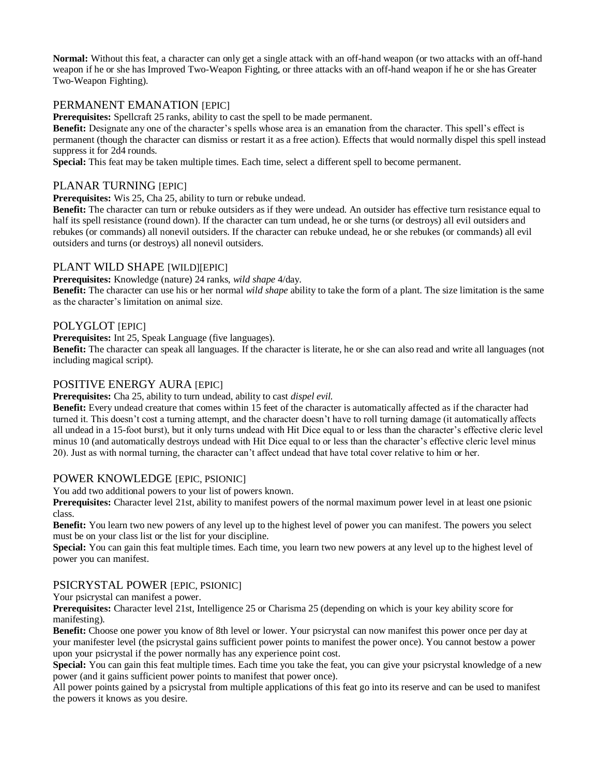**Normal:** Without this feat, a character can only get a single attack with an off-hand weapon (or two attacks with an off-hand weapon if he or she has Improved Two-Weapon Fighting, or three attacks with an off-hand weapon if he or she has Greater Two-Weapon Fighting).

## PERMANENT EMANATION [EPIC]

**Prerequisites:** Spellcraft 25 ranks, ability to cast the spell to be made permanent.

**Benefit:** Designate any one of the character's spells whose area is an emanation from the character. This spell's effect is permanent (though the character can dismiss or restart it as a free action). Effects that would normally dispel this spell instead suppress it for 2d4 rounds.

**Special:** This feat may be taken multiple times. Each time, select a different spell to become permanent.

# PLANAR TURNING [EPIC]

**Prerequisites:** Wis 25, Cha 25, ability to turn or rebuke undead.

**Benefit:** The character can turn or rebuke outsiders as if they were undead. An outsider has effective turn resistance equal to half its spell resistance (round down). If the character can turn undead, he or she turns (or destroys) all evil outsiders and rebukes (or commands) all nonevil outsiders. If the character can rebuke undead, he or she rebukes (or commands) all evil outsiders and turns (or destroys) all nonevil outsiders.

## PLANT WILD SHAPE [WILD][EPIC]

**Prerequisites:** Knowledge (nature) 24 ranks, *wild shape* 4/day.

**Benefit:** The character can use his or her normal *wild shape* ability to take the form of a plant. The size limitation is the same as the character's limitation on animal size.

### POLYGLOT [EPIC]

**Prerequisites:** Int 25, Speak Language (five languages).

**Benefit:** The character can speak all languages. If the character is literate, he or she can also read and write all languages (not including magical script).

# POSITIVE ENERGY AURA [EPIC]

**Prerequisites:** Cha 25, ability to turn undead, ability to cast *dispel evil.* 

**Benefit:** Every undead creature that comes within 15 feet of the character is automatically affected as if the character had turned it. This doesn't cost a turning attempt, and the character doesn't have to roll turning damage (it automatically affects all undead in a 15-foot burst), but it only turns undead with Hit Dice equal to or less than the character's effective cleric level minus 10 (and automatically destroys undead with Hit Dice equal to or less than the character's effective cleric level minus 20). Just as with normal turning, the character can't affect undead that have total cover relative to him or her.

## POWER KNOWLEDGE [EPIC, PSIONIC]

You add two additional powers to your list of powers known.

**Prerequisites:** Character level 21st, ability to manifest powers of the normal maximum power level in at least one psionic class.

**Benefit:** You learn two new powers of any level up to the highest level of power you can manifest. The powers you select must be on your class list or the list for your discipline.

**Special:** You can gain this feat multiple times. Each time, you learn two new powers at any level up to the highest level of power you can manifest.

## PSICRYSTAL POWER [EPIC, PSIONIC]

Your psicrystal can manifest a power.

**Prerequisites:** Character level 21st, Intelligence 25 or Charisma 25 (depending on which is your key ability score for manifesting).

**Benefit:** Choose one power you know of 8th level or lower. Your psicrystal can now manifest this power once per day at your manifester level (the psicrystal gains sufficient power points to manifest the power once). You cannot bestow a power upon your psicrystal if the power normally has any experience point cost.

**Special:** You can gain this feat multiple times. Each time you take the feat, you can give your psicrystal knowledge of a new power (and it gains sufficient power points to manifest that power once).

All power points gained by a psicrystal from multiple applications of this feat go into its reserve and can be used to manifest the powers it knows as you desire.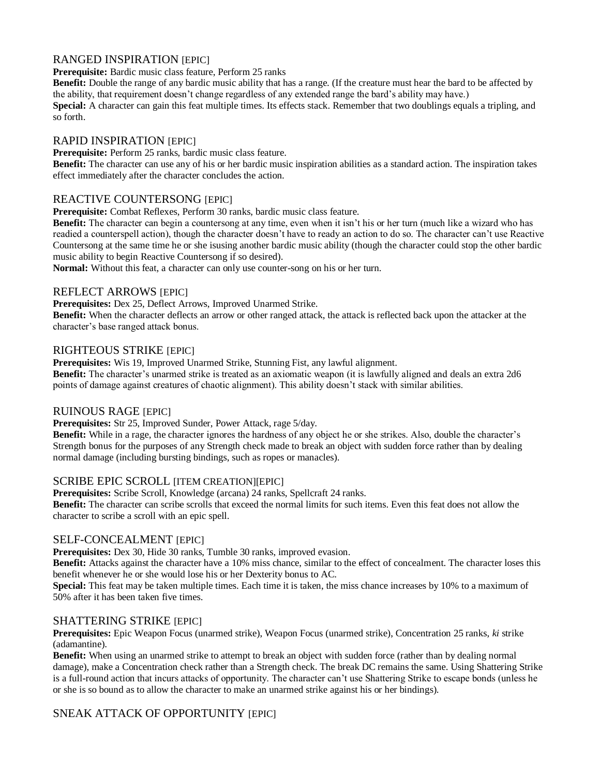# RANGED INSPIRATION [EPIC]

**Prerequisite:** Bardic music class feature, Perform 25 ranks

**Benefit:** Double the range of any bardic music ability that has a range. (If the creature must hear the bard to be affected by the ability, that requirement doesn't change regardless of any extended range the bard's ability may have.) **Special:** A character can gain this feat multiple times. Its effects stack. Remember that two doublings equals a tripling, and

so forth.

# RAPID INSPIRATION [EPIC]

**Prerequisite:** Perform 25 ranks, bardic music class feature.

**Benefit:** The character can use any of his or her bardic music inspiration abilities as a standard action. The inspiration takes effect immediately after the character concludes the action.

# REACTIVE COUNTERSONG [EPIC]

**Prerequisite:** Combat Reflexes, Perform 30 ranks, bardic music class feature.

**Benefit:** The character can begin a countersong at any time, even when it isn't his or her turn (much like a wizard who has readied a counterspell action), though the character doesn't have to ready an action to do so. The character can't use Reactive Countersong at the same time he or she isusing another bardic music ability (though the character could stop the other bardic music ability to begin Reactive Countersong if so desired).

**Normal:** Without this feat, a character can only use counter-song on his or her turn.

## REFLECT ARROWS [EPIC]

**Prerequisites:** Dex 25, Deflect Arrows, Improved Unarmed Strike.

**Benefit:** When the character deflects an arrow or other ranged attack, the attack is reflected back upon the attacker at the character's base ranged attack bonus.

# RIGHTEOUS STRIKE [EPIC]

**Prerequisites:** Wis 19, Improved Unarmed Strike, Stunning Fist, any lawful alignment.

**Benefit:** The character's unarmed strike is treated as an axiomatic weapon (it is lawfully aligned and deals an extra 2d6 points of damage against creatures of chaotic alignment). This ability doesn't stack with similar abilities.

# RUINOUS RAGE [EPIC]

**Prerequisites:** Str 25, Improved Sunder, Power Attack, rage 5/day.

**Benefit:** While in a rage, the character ignores the hardness of any object he or she strikes. Also, double the character's Strength bonus for the purposes of any Strength check made to break an object with sudden force rather than by dealing normal damage (including bursting bindings, such as ropes or manacles).

## SCRIBE EPIC SCROLL [ITEM CREATION][EPIC]

**Prerequisites:** Scribe Scroll, Knowledge (arcana) 24 ranks, Spellcraft 24 ranks.

**Benefit:** The character can scribe scrolls that exceed the normal limits for such items. Even this feat does not allow the character to scribe a scroll with an epic spell.

## SELF-CONCEALMENT [EPIC]

**Prerequisites:** Dex 30, Hide 30 ranks, Tumble 30 ranks, improved evasion.

**Benefit:** Attacks against the character have a 10% miss chance, similar to the effect of concealment. The character loses this benefit whenever he or she would lose his or her Dexterity bonus to AC.

**Special:** This feat may be taken multiple times. Each time it is taken, the miss chance increases by 10% to a maximum of 50% after it has been taken five times.

# SHATTERING STRIKE **[EPIC]**

**Prerequisites:** Epic Weapon Focus (unarmed strike), Weapon Focus (unarmed strike), Concentration 25 ranks, *ki* strike (adamantine).

**Benefit:** When using an unarmed strike to attempt to break an object with sudden force (rather than by dealing normal damage), make a Concentration check rather than a Strength check. The break DC remains the same. Using Shattering Strike is a full-round action that incurs attacks of opportunity. The character can't use Shattering Strike to escape bonds (unless he or she is so bound as to allow the character to make an unarmed strike against his or her bindings).

# SNEAK ATTACK OF OPPORTUNITY **[EPIC]**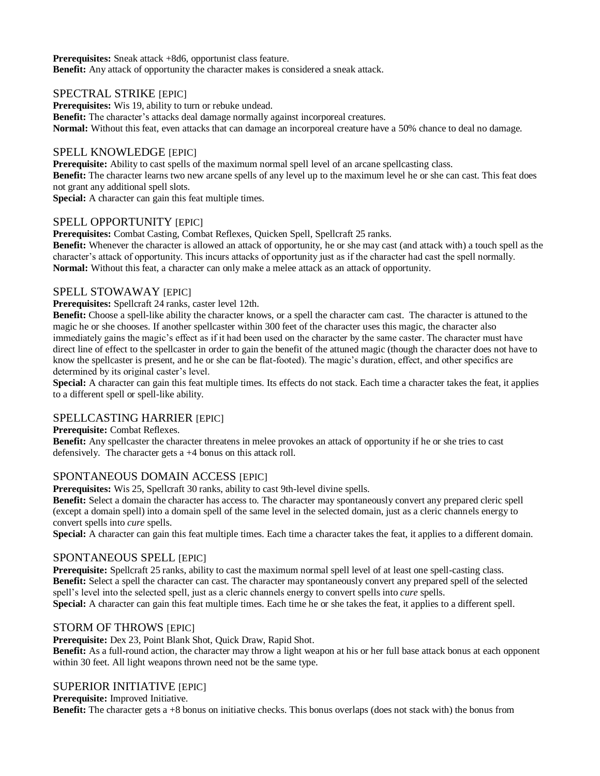**Prerequisites:** Sneak attack +8d6, opportunist class feature. **Benefit:** Any attack of opportunity the character makes is considered a sneak attack.

### SPECTRAL STRIKE [EPIC]

**Prerequisites:** Wis 19, ability to turn or rebuke undead.

**Benefit:** The character's attacks deal damage normally against incorporeal creatures. **Normal:** Without this feat, even attacks that can damage an incorporeal creature have a 50% chance to deal no damage.

# SPELL KNOWLEDGE [EPIC]

**Prerequisite:** Ability to cast spells of the maximum normal spell level of an arcane spellcasting class.

**Benefit:** The character learns two new arcane spells of any level up to the maximum level he or she can cast. This feat does not grant any additional spell slots.

**Special:** A character can gain this feat multiple times.

# SPELL OPPORTUNITY [EPIC]

**Prerequisites:** Combat Casting, Combat Reflexes, Quicken Spell, Spellcraft 25 ranks.

**Benefit:** Whenever the character is allowed an attack of opportunity, he or she may cast (and attack with) a touch spell as the character's attack of opportunity. This incurs attacks of opportunity just as if the character had cast the spell normally. **Normal:** Without this feat, a character can only make a melee attack as an attack of opportunity.

## SPELL STOWAWAY [EPIC]

**Prerequisites:** Spellcraft 24 ranks, caster level 12th.

**Benefit:** Choose a spell-like ability the character knows, or a spell the character cam cast. The character is attuned to the magic he or she chooses. If another spellcaster within 300 feet of the character uses this magic, the character also immediately gains the magic's effect as if it had been used on the character by the same caster. The character must have direct line of effect to the spellcaster in order to gain the benefit of the attuned magic (though the character does not have to know the spellcaster is present, and he or she can be flat-footed). The magic's duration, effect, and other specifics are determined by its original caster's level.

**Special:** A character can gain this feat multiple times. Its effects do not stack. Each time a character takes the feat, it applies to a different spell or spell-like ability.

## SPELLCASTING HARRIER [EPIC]

**Prerequisite:** Combat Reflexes.

**Benefit:** Any spellcaster the character threatens in melee provokes an attack of opportunity if he or she tries to cast defensively. The character gets a +4 bonus on this attack roll.

## SPONTANEOUS DOMAIN ACCESS [EPIC]

**Prerequisites:** Wis 25, Spellcraft 30 ranks, ability to cast 9th-level divine spells.

**Benefit:** Select a domain the character has access to. The character may spontaneously convert any prepared cleric spell (except a domain spell) into a domain spell of the same level in the selected domain, just as a cleric channels energy to convert spells into *cure* spells.

**Special:** A character can gain this feat multiple times. Each time a character takes the feat, it applies to a different domain.

## SPONTANEOUS SPELL [EPIC]

**Prerequisite:** Spellcraft 25 ranks, ability to cast the maximum normal spell level of at least one spell-casting class. **Benefit:** Select a spell the character can cast. The character may spontaneously convert any prepared spell of the selected spell's level into the selected spell, just as a cleric channels energy to convert spells into *cure* spells. **Special:** A character can gain this feat multiple times. Each time he or she takes the feat, it applies to a different spell.

## STORM OF THROWS [EPIC]

**Prerequisite:** Dex 23, Point Blank Shot, Quick Draw, Rapid Shot.

**Benefit:** As a full-round action, the character may throw a light weapon at his or her full base attack bonus at each opponent within 30 feet. All light weapons thrown need not be the same type.

## SUPERIOR INITIATIVE [EPIC]

**Prerequisite:** Improved Initiative.

**Benefit:** The character gets a +8 bonus on initiative checks. This bonus overlaps (does not stack with) the bonus from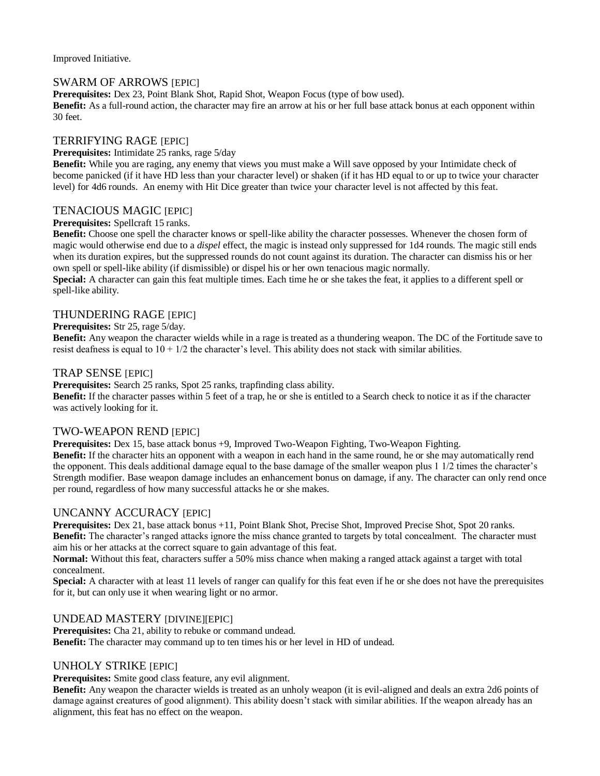Improved Initiative.

### SWARM OF ARROWS **[EPIC]**

**Prerequisites:** Dex 23, Point Blank Shot, Rapid Shot, Weapon Focus (type of bow used).

**Benefit:** As a full-round action, the character may fire an arrow at his or her full base attack bonus at each opponent within 30 feet.

# TERRIFYING RAGE [EPIC]

#### **Prerequisites:** Intimidate 25 ranks, rage 5/day

**Benefit:** While you are raging, any enemy that views you must make a Will save opposed by your Intimidate check of become panicked (if it have HD less than your character level) or shaken (if it has HD equal to or up to twice your character level) for 4d6 rounds. An enemy with Hit Dice greater than twice your character level is not affected by this feat.

## TENACIOUS MAGIC [EPIC]

### **Prerequisites:** Spellcraft 15 ranks.

**Benefit:** Choose one spell the character knows or spell-like ability the character possesses. Whenever the chosen form of magic would otherwise end due to a *dispel* effect, the magic is instead only suppressed for 1d4 rounds. The magic still ends when its duration expires, but the suppressed rounds do not count against its duration. The character can dismiss his or her own spell or spell-like ability (if dismissible) or dispel his or her own tenacious magic normally.

**Special:** A character can gain this feat multiple times. Each time he or she takes the feat, it applies to a different spell or spell-like ability.

### THUNDERING RAGE [EPIC]

### **Prerequisites:** Str 25, rage 5/day.

**Benefit:** Any weapon the character wields while in a rage is treated as a thundering weapon. The DC of the Fortitude save to resist deafness is equal to  $10 + 1/2$  the character's level. This ability does not stack with similar abilities.

### TRAP SENSE **[EPIC]**

**Prerequisites:** Search 25 ranks, Spot 25 ranks, trapfinding class ability.

**Benefit:** If the character passes within 5 feet of a trap, he or she is entitled to a Search check to notice it as if the character was actively looking for it.

## TWO-WEAPON REND [EPIC]

**Prerequisites:** Dex 15, base attack bonus +9, Improved Two-Weapon Fighting, Two-Weapon Fighting. **Benefit:** If the character hits an opponent with a weapon in each hand in the same round, he or she may automatically rend the opponent. This deals additional damage equal to the base damage of the smaller weapon plus 1 1/2 times the character's Strength modifier. Base weapon damage includes an enhancement bonus on damage, if any. The character can only rend once per round, regardless of how many successful attacks he or she makes.

## UNCANNY ACCURACY [EPIC]

**Prerequisites:** Dex 21, base attack bonus +11, Point Blank Shot, Precise Shot, Improved Precise Shot, Spot 20 ranks. **Benefit:** The character's ranged attacks ignore the miss chance granted to targets by total concealment. The character must aim his or her attacks at the correct square to gain advantage of this feat.

**Normal:** Without this feat, characters suffer a 50% miss chance when making a ranged attack against a target with total concealment.

**Special:** A character with at least 11 levels of ranger can qualify for this feat even if he or she does not have the prerequisites for it, but can only use it when wearing light or no armor.

### UNDEAD MASTERY [DIVINE][EPIC]

**Prerequisites:** Cha 21, ability to rebuke or command undead. **Benefit:** The character may command up to ten times his or her level in HD of undead.

## UNHOLY STRIKE [EPIC]

**Prerequisites:** Smite good class feature, any evil alignment.

**Benefit:** Any weapon the character wields is treated as an unholy weapon (it is evil-aligned and deals an extra 2d6 points of damage against creatures of good alignment). This ability doesn't stack with similar abilities. If the weapon already has an alignment, this feat has no effect on the weapon.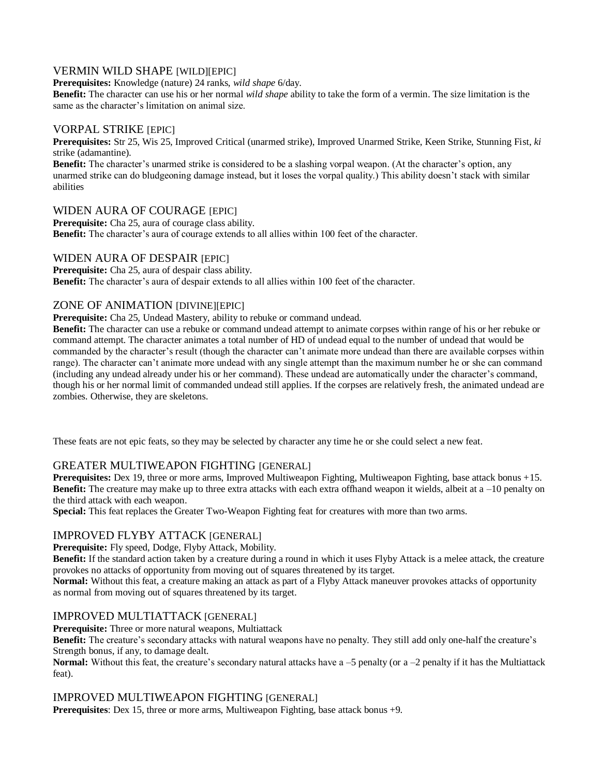# VERMIN WILD SHAPE [WILD][EPIC]

**Prerequisites:** Knowledge (nature) 24 ranks, *wild shape* 6/day.

**Benefit:** The character can use his or her normal *wild shape* ability to take the form of a vermin. The size limitation is the same as the character's limitation on animal size.

## VORPAL STRIKE [EPIC]

**Prerequisites:** Str 25, Wis 25, Improved Critical (unarmed strike), Improved Unarmed Strike, Keen Strike, Stunning Fist, *ki*  strike (adamantine).

**Benefit:** The character's unarmed strike is considered to be a slashing vorpal weapon. (At the character's option, any unarmed strike can do bludgeoning damage instead, but it loses the vorpal quality.) This ability doesn't stack with similar abilities

## WIDEN AURA OF COURAGE [EPIC]

**Prerequisite:** Cha 25, aura of courage class ability. **Benefit:** The character's aura of courage extends to all allies within 100 feet of the character.

## WIDEN AURA OF DESPAIR [EPIC]

**Prerequisite:** Cha 25, aura of despair class ability. **Benefit:** The character's aura of despair extends to all allies within 100 feet of the character.

## ZONE OF ANIMATION [DIVINE][EPIC]

**Prerequisite:** Cha 25, Undead Mastery, ability to rebuke or command undead.

**Benefit:** The character can use a rebuke or command undead attempt to animate corpses within range of his or her rebuke or command attempt. The character animates a total number of HD of undead equal to the number of undead that would be commanded by the character's result (though the character can't animate more undead than there are available corpses within range). The character can't animate more undead with any single attempt than the maximum number he or she can command (including any undead already under his or her command). These undead are automatically under the character's command, though his or her normal limit of commanded undead still applies. If the corpses are relatively fresh, the animated undead are zombies. Otherwise, they are skeletons.

These feats are not epic feats, so they may be selected by character any time he or she could select a new feat.

## GREATER MULTIWEAPON FIGHTING [GENERAL]

**Prerequisites:** Dex 19, three or more arms, Improved Multiweapon Fighting, Multiweapon Fighting, base attack bonus +15. **Benefit:** The creature may make up to three extra attacks with each extra offhand weapon it wields, albeit at a –10 penalty on the third attack with each weapon.

**Special:** This feat replaces the Greater Two-Weapon Fighting feat for creatures with more than two arms.

## IMPROVED FLYBY ATTACK [GENERAL]

**Prerequisite:** Fly speed, Dodge, Flyby Attack, Mobility.

**Benefit:** If the standard action taken by a creature during a round in which it uses Flyby Attack is a melee attack, the creature provokes no attacks of opportunity from moving out of squares threatened by its target.

**Normal:** Without this feat, a creature making an attack as part of a Flyby Attack maneuver provokes attacks of opportunity as normal from moving out of squares threatened by its target.

# IMPROVED MULTIATTACK [GENERAL]

**Prerequisite:** Three or more natural weapons, Multiattack

**Benefit:** The creature's secondary attacks with natural weapons have no penalty. They still add only one-half the creature's Strength bonus, if any, to damage dealt.

**Normal:** Without this feat, the creature's secondary natural attacks have  $a - 5$  penalty (or  $a - 2$  penalty if it has the Multiattack feat).

### IMPROVED MULTIWEAPON FIGHTING [GENERAL]

**Prerequisites**: Dex 15, three or more arms, Multiweapon Fighting, base attack bonus +9.